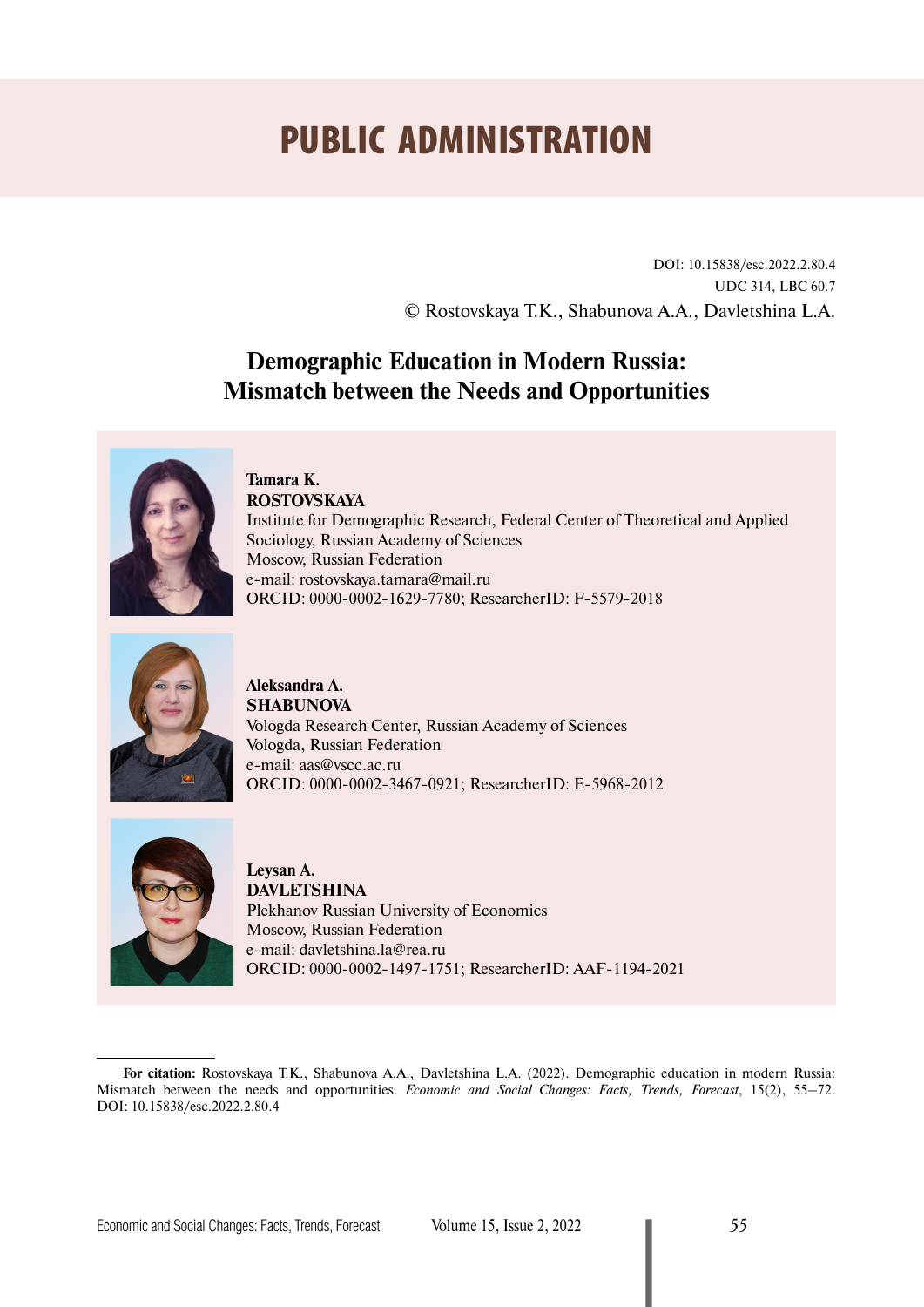# PUBLIC ADMINISTRATION

DOI: 10.15838/esc.2022.2.80.4 UDC 314, LBC 60.7 © Rostovskaya T.K., Shabunova A.A., Davletshina L.A.

## **Demographic Education in Modern Russia: Mismatch between the Needs and Opportunities**



**Tamara K. ROSTOVSKAYA** Institute for Demographic Research, Federal Center of Theoretical and Applied Sociology, Russian Academy of Sciences Moscow, Russian Federation е-mail: [rostovskaya.tamara@mail.ru](mailto:rostovskaya.tamara@mail.ru) ORCID: [0000-0002-1629-7780;](https://orcid.org/0000-0002-1629-7780) ResearcherID: [F-5579-2018](https://publons.com/researcher/1965048/tamara-kerimovna-rostovskaya/)



**Aleksandra A. SHABUNOVA** Vologda Research Center, Russian Academy of Sciences Vologda, Russian Federation е-mail: [aas@vscc.ac.ru](mailto:aas@vscc.ac.ru) ORCID: [0000-0002-3467-0921;](https://orcid.org/0000-0002-3467-0921) ResearcherID: [E-5968-2012](https://publons.com/researcher/2729401/aleksandra-shabunova/)



**Leysan A. DAVLETSHINA** Plekhanov Russian University of Economics Moscow, Russian Federation е-mail: [davletshina.la@rea.ru](mailto:davletshina.la@rea.ru) ORCID: [0000-0002-1497-1751;](https://orcid.org/0000-0002-1497-1751) ResearcherID: [AAF-1194-2021](https://publons.com/researcher/3291630/)

**For citation:** Rostovskaya T.K., Shabunova A.A., Davletshina L.A. (2022). Demographic education in modern Russia: Mismatch between the needs and opportunities. *Economic and Social Changes: Facts, Trends, Forecast*, 15(2), 55–72. DOI: 10.15838/esc.2022.2.80.4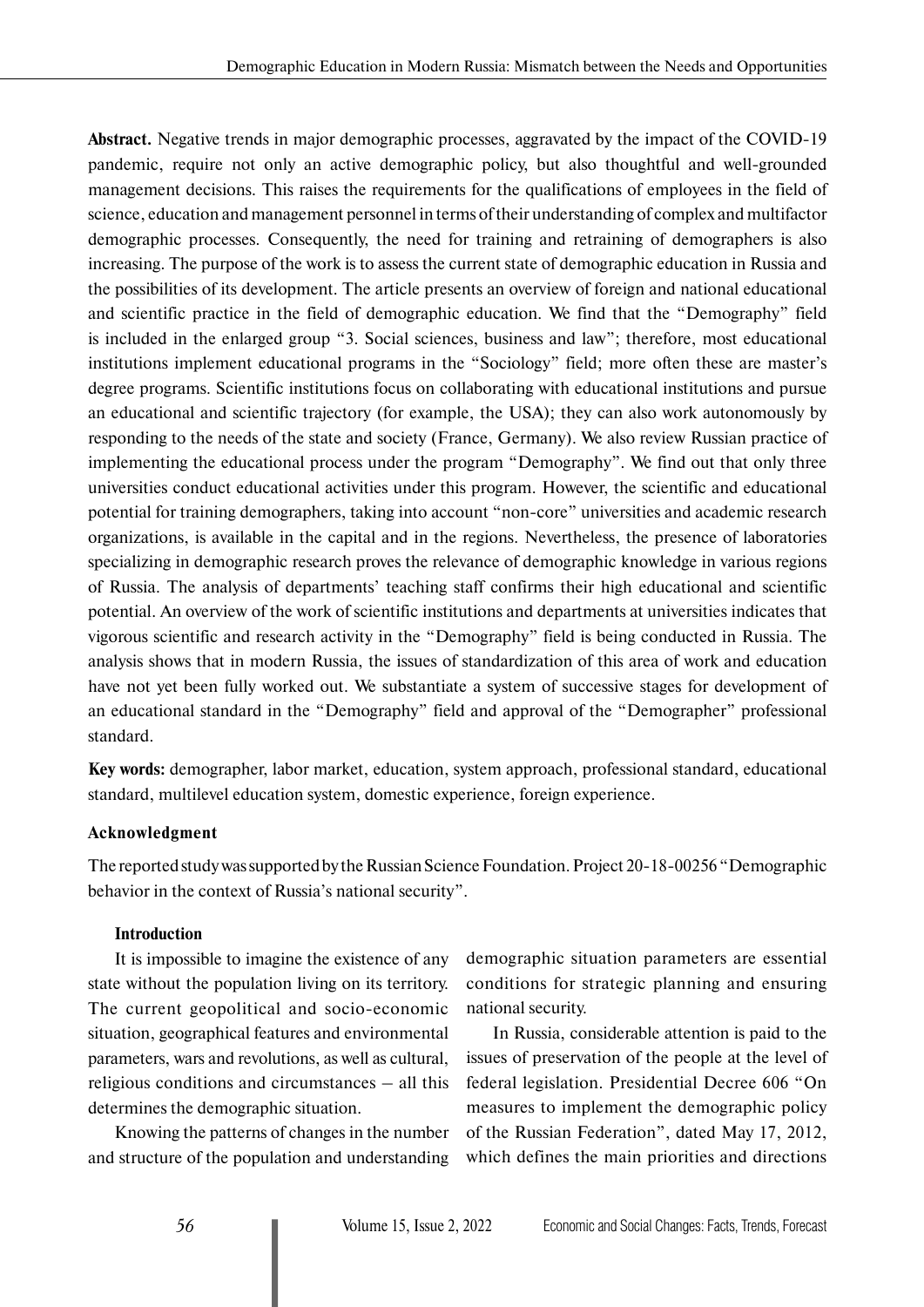**Abstract.** Negative trends in major demographic processes, aggravated by the impact of the COVID-19 pandemic, require not only an active demographic policy, but also thoughtful and well-grounded management decisions. This raises the requirements for the qualifications of employees in the field of science, education and management personnel in terms of their understanding of complex and multifactor demographic processes. Consequently, the need for training and retraining of demographers is also increasing. The purpose of the work is to assess the current state of demographic education in Russia and the possibilities of its development. The article presents an overview of foreign and national educational and scientific practice in the field of demographic education. We find that the "Demography" field is included in the enlarged group "3. Social sciences, business and law"; therefore, most educational institutions implement educational programs in the "Sociology" field; more often these are master's degree programs. Scientific institutions focus on collaborating with educational institutions and pursue an educational and scientific trajectory (for example, the USA); they can also work autonomously by responding to the needs of the state and society (France, Germany). We also review Russian practice of implementing the educational process under the program "Demography". We find out that only three universities conduct educational activities under this program. However, the scientific and educational potential for training demographers, taking into account "non-core" universities and academic research organizations, is available in the capital and in the regions. Nevertheless, the presence of laboratories specializing in demographic research proves the relevance of demographic knowledge in various regions of Russia. The analysis of departments' teaching staff confirms their high educational and scientific potential. An overview of the work of scientific institutions and departments at universities indicates that vigorous scientific and research activity in the "Demography" field is being conducted in Russia. The analysis shows that in modern Russia, the issues of standardization of this area of work and education have not yet been fully worked out. We substantiate a system of successive stages for development of an educational standard in the "Demography" field and approval of the "Demographer" professional standard.

**Key words:** demographer, labor market, education, system approach, professional standard, educational standard, multilevel education system, domestic experience, foreign experience.

#### **Acknowledgment**

The reported study was supported by the Russian Science Foundation. Project 20-18-00256 "Demographic behavior in the context of Russia's national security".

#### **Introduction**

It is impossible to imagine the existence of any state without the population living on its territory. The current geopolitical and socio-economic situation, geographical features and environmental parameters, wars and revolutions, as well as cultural, religious conditions and circumstances – all this determines the demographic situation.

Knowing the patterns of changes in the number and structure of the population and understanding demographic situation parameters are essential conditions for strategic planning and ensuring national security.

In Russia, considerable attention is paid to the issues of preservation of the people at the level of federal legislation. Presidential Decree 606 "On measures to implement the demographic policy of the Russian Federation", dated May 17, 2012, which defines the main priorities and directions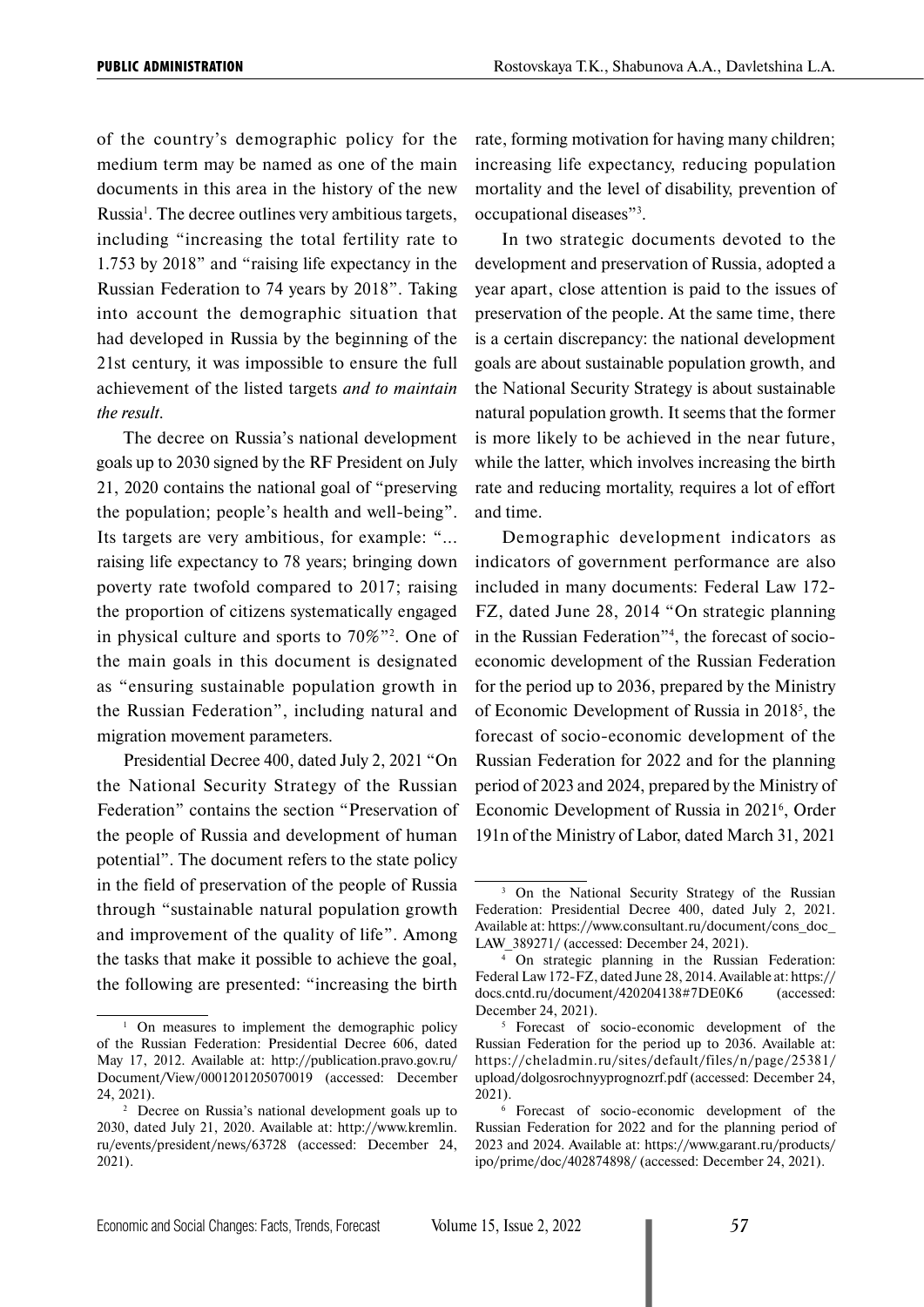of the country's demographic policy for the medium term may be named as one of the main documents in this area in the history of the new Russia<sup>1</sup>. The decree outlines very ambitious targets, including "increasing the total fertility rate to 1.753 by 2018" and "raising life expectancy in the Russian Federation to 74 years by 2018". Taking into account the demographic situation that had developed in Russia by the beginning of the 21st century, it was impossible to ensure the full achievement of the listed targets *and to maintain the result*.

The decree on Russia's national development goals up to 2030 signed by the RF President on July 21, 2020 contains the national goal of "preserving the population; people's health and well-being". Its targets are very ambitious, for example: "... raising life expectancy to 78 years; bringing down poverty rate twofold compared to 2017; raising the proportion of citizens systematically engaged in physical culture and sports to 70%"2 . One of the main goals in this document is designated as "ensuring sustainable population growth in the Russian Federation", including natural and migration movement parameters.

Presidential Decree 400, dated July 2, 2021 "On the National Security Strategy of the Russian Federation" contains the section "Preservation of the people of Russia and development of human potential". The document refers to the state policy in the field of preservation of the people of Russia through "sustainable natural population growth and improvement of the quality of life". Among the tasks that make it possible to achieve the goal, the following are presented: "increasing the birth

rate, forming motivation for having many children; increasing life expectancy, reducing population mortality and the level of disability, prevention of occupational diseases"3 .

In two strategic documents devoted to the development and preservation of Russia, adopted a year apart, close attention is paid to the issues of preservation of the people. At the same time, there is a certain discrepancy: the national development goals are about sustainable population growth, and the National Security Strategy is about sustainable natural population growth. It seems that the former is more likely to be achieved in the near future, while the latter, which involves increasing the birth rate and reducing mortality, requires a lot of effort and time.

Demographic development indicators as indicators of government performance are also included in many documents: Federal Law 172- FZ, dated June 28, 2014 "On strategic planning in the Russian Federation"4 , the forecast of socioeconomic development of the Russian Federation for the period up to 2036, prepared by the Ministry of Economic Development of Russia in 20185 , the forecast of socio-economic development of the Russian Federation for 2022 and for the planning period of 2023 and 2024, prepared by the Ministry of Economic Development of Russia in 2021<sup>6</sup>, Order 191n of the Ministry of Labor, dated March 31, 2021

<sup>&</sup>lt;sup>1</sup> On measures to implement the demographic policy of the Russian Federation: Presidential Decree 606, dated May 17, 2012. Available at: http://publication.pravo.gov.ru/ Document/View/0001201205070019 (accessed: December 24, 2021).

<sup>2</sup> Decree on Russia's national development goals up to 2030, dated July 21, 2020. Available at: http://www.kremlin. ru/events/president/news/63728 (accessed: December 24, 2021).

<sup>&</sup>lt;sup>3</sup> On the National Security Strategy of the Russian Federation: Presidential Decree 400, dated July 2, 2021. Available at: https://www.consultant.ru/document/cons\_doc\_ LAW 389271/ (accessed: December 24, 2021).

<sup>4</sup> On strategic planning in the Russian Federation: Federal Law 172-FZ, dated June 28, 2014. Available at: https:// docs.cntd.ru/document/420204138#7DE0K6 (accessed: December 24, 2021).

<sup>&</sup>lt;sup>5</sup> Forecast of socio-economic development of the Russian Federation for the period up to 2036. Available at: https://cheladmin.ru/sites/default/files/n/page/25381/ upload/dolgosrochnyyprognozrf.pdf (accessed: December 24, 2021).

<sup>6</sup> Forecast of socio-economic development of the Russian Federation for 2022 and for the planning period of 2023 and 2024. Available at: https://www.garant.ru/products/ ipo/prime/doc/402874898/ (accessed: December 24, 2021).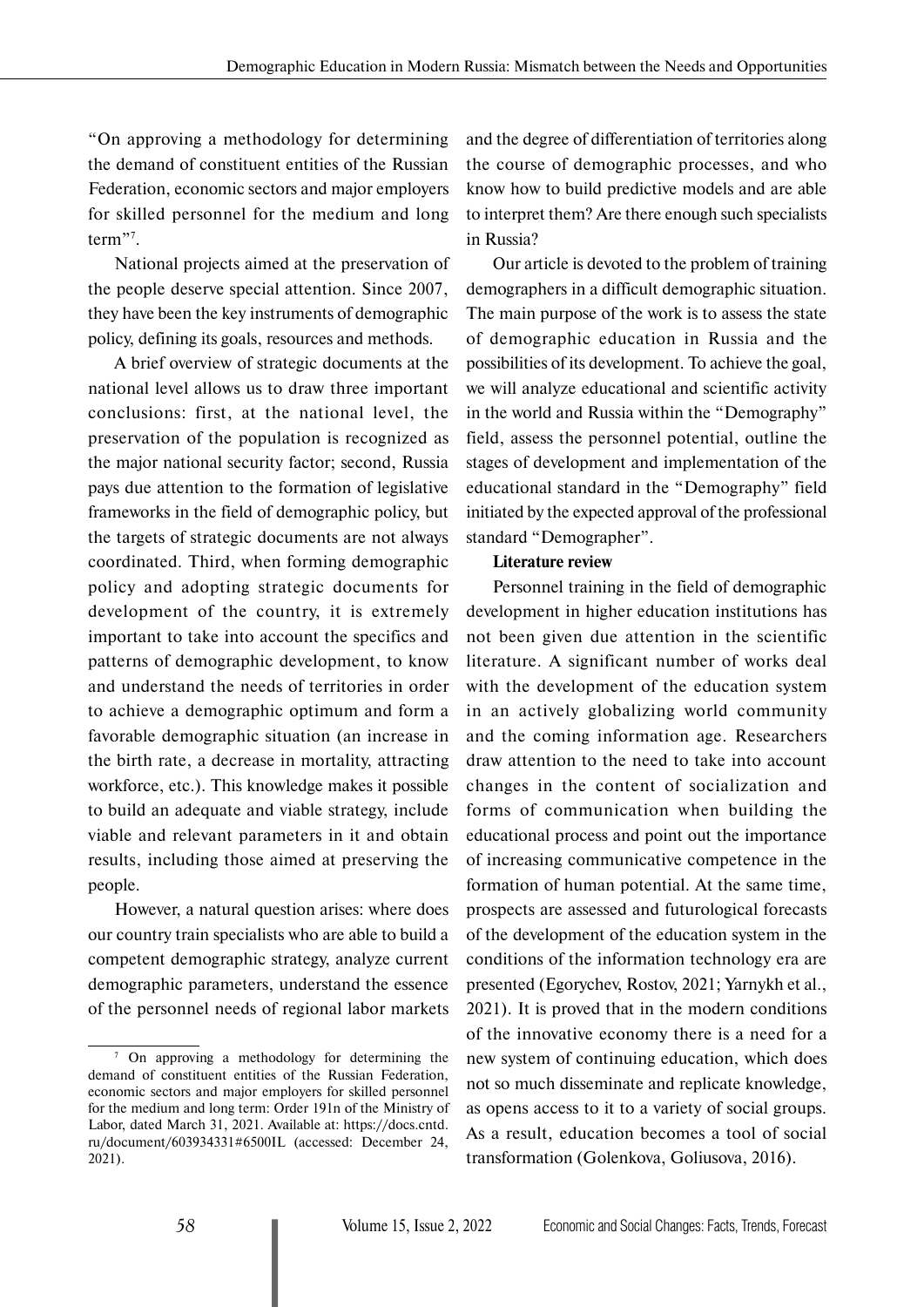"On approving a methodology for determining the demand of constituent entities of the Russian Federation, economic sectors and major employers for skilled personnel for the medium and long term"<sup>7</sup>.

National projects aimed at the preservation of the people deserve special attention. Since 2007, they have been the key instruments of demographic policy, defining its goals, resources and methods.

A brief overview of strategic documents at the national level allows us to draw three important conclusions: first, at the national level, the preservation of the population is recognized as the major national security factor; second, Russia pays due attention to the formation of legislative frameworks in the field of demographic policy, but the targets of strategic documents are not always coordinated. Third, when forming demographic policy and adopting strategic documents for development of the country, it is extremely important to take into account the specifics and patterns of demographic development, to know and understand the needs of territories in order to achieve a demographic optimum and form a favorable demographic situation (an increase in the birth rate, a decrease in mortality, attracting workforce, etc.). This knowledge makes it possible to build an adequate and viable strategy, include viable and relevant parameters in it and obtain results, including those aimed at preserving the people.

However, a natural question arises: where does our country train specialists who are able to build a competent demographic strategy, analyze current demographic parameters, understand the essence of the personnel needs of regional labor markets

and the degree of differentiation of territories along the course of demographic processes, and who know how to build predictive models and are able to interpret them? Are there enough such specialists in Russia?

Our article is devoted to the problem of training demographers in a difficult demographic situation. The main purpose of the work is to assess the state of demographic education in Russia and the possibilities of its development. To achieve the goal, we will analyze educational and scientific activity in the world and Russia within the "Demography" field, assess the personnel potential, outline the stages of development and implementation of the educational standard in the "Demography" field initiated by the expected approval of the professional standard "Demographer".

#### **Literature review**

Personnel training in the field of demographic development in higher education institutions has not been given due attention in the scientific literature. A significant number of works deal with the development of the education system in an actively globalizing world community and the coming information age. Researchers draw attention to the need to take into account changes in the content of socialization and forms of communication when building the educational process and point out the importance of increasing communicative competence in the formation of human potential. At the same time, prospects are assessed and futurological forecasts of the development of the education system in the conditions of the information technology era are presented (Egorychev, Rostov, 2021; Yarnykh et al., 2021). It is proved that in the modern conditions of the innovative economy there is a need for a new system of continuing education, which does not so much disseminate and replicate knowledge, as opens access to it to a variety of social groups. As a result, education becomes a tool of social transformation (Golenkova, Goliusova, 2016).

<sup>&</sup>lt;sup>7</sup> On approving a methodology for determining the demand of constituent entities of the Russian Federation, economic sectors and major employers for skilled personnel for the medium and long term: Order 191n of the Ministry of Labor, dated March 31, 2021. Available at: https://docs.cntd. ru/document/603934331#6500IL (accessed: December 24, 2021).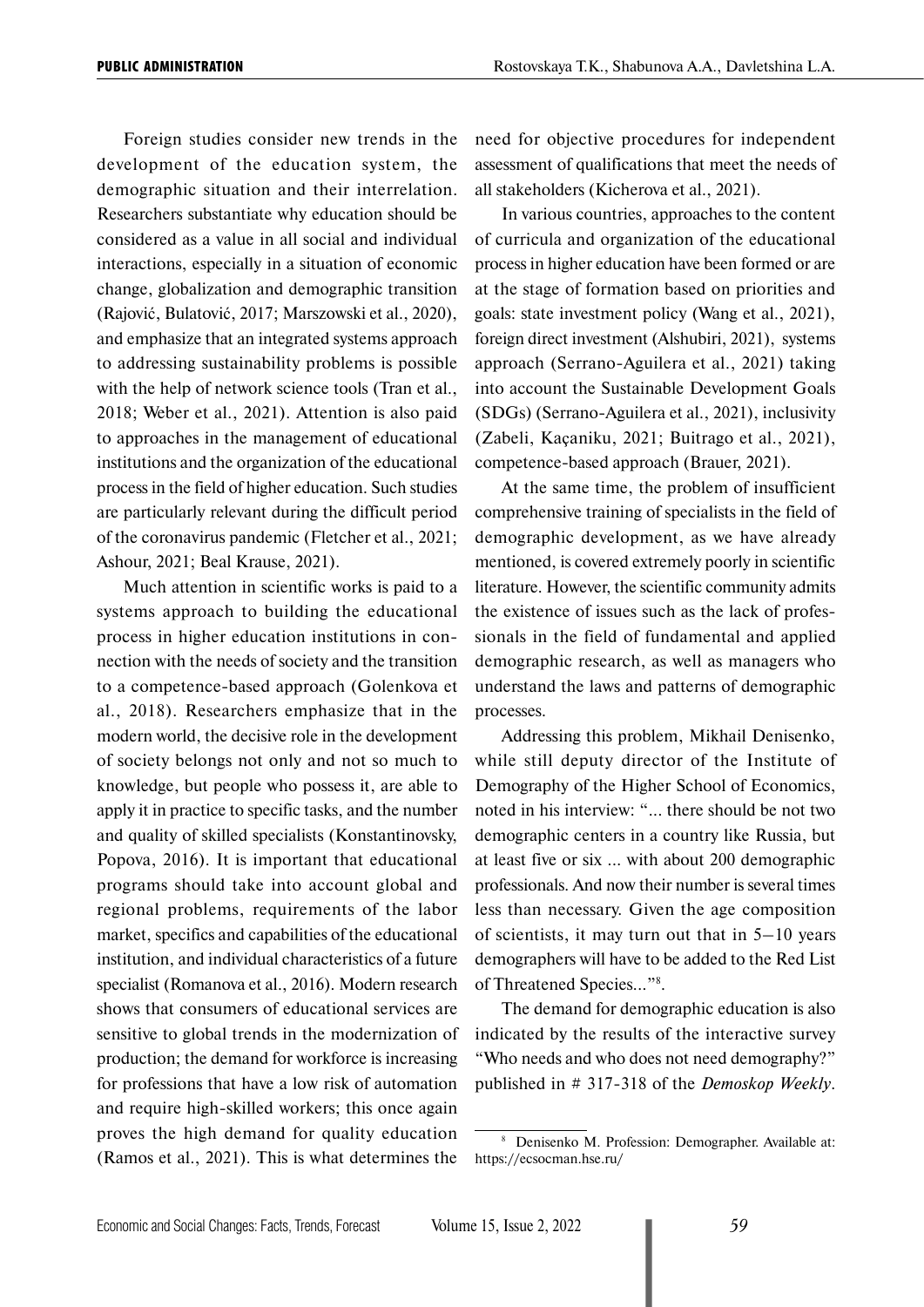Foreign studies consider new trends in the development of the education system, the demographic situation and their interrelation. Researchers substantiate why education should be considered as a value in all social and individual interactions, especially in a situation of economic change, globalization and demographic transition (Rajović, Bulatović, 2017; Marszowski et al., 2020), and emphasize that an integrated systems approach to addressing sustainability problems is possible with the help of network science tools (Tran et al., 2018; Weber et al., 2021). Attention is also paid to approaches in the management of educational institutions and the organization of the educational process in the field of higher education. Such studies are particularly relevant during the difficult period of the coronavirus pandemic (Fletcher et al., 2021; Ashour, 2021; Beal Krause, 2021).

Much attention in scientific works is paid to a systems approach to building the educational process in higher education institutions in connection with the needs of society and the transition to a competence-based approach (Golenkova et al., 2018). Researchers emphasize that in the modern world, the decisive role in the development of society belongs not only and not so much to knowledge, but people who possess it, are able to apply it in practice to specific tasks, and the number and quality of skilled specialists (Konstantinovsky, Popova, 2016). It is important that educational programs should take into account global and regional problems, requirements of the labor market, specifics and capabilities of the educational institution, and individual characteristics of a future specialist (Romanova et al., 2016). Modern research shows that consumers of educational services are sensitive to global trends in the modernization of production; the demand for workforce is increasing for professions that have a low risk of automation and require high-skilled workers; this once again proves the high demand for quality education (Ramos et al., 2021). This is what determines the

need for objective procedures for independent assessment of qualifications that meet the needs of all stakeholders (Kicherova et al., 2021).

In various countries, approaches to the content of curricula and organization of the educational process in higher education have been formed or are at the stage of formation based on priorities and goals: state investment policy (Wang et al., 2021), foreign direct investment (Alshubiri, 2021), systems approach (Serrano-Aguilera et al., 2021) taking into account the Sustainable Development Goals (SDGs) (Serrano-Aguilera et al., 2021), inclusivity (Zabeli, Kaçaniku, 2021; Buitrago et al., 2021), competence-based approach (Brauer, 2021).

At the same time, the problem of insufficient comprehensive training of specialists in the field of demographic development, as we have already mentioned, is covered extremely poorly in scientific literature. However, the scientific community admits the existence of issues such as the lack of professionals in the field of fundamental and applied demographic research, as well as managers who understand the laws and patterns of demographic processes.

Addressing this problem, Mikhail Denisenko, while still deputy director of the Institute of Demography of the Higher School of Economics, noted in his interview: "... there should be not two demographic centers in a country like Russia, but at least five or six ... with about 200 demographic professionals. And now their number is several times less than necessary. Given the age composition of scientists, it may turn out that in 5–10 years demographers will have to be added to the Red List of Threatened Species..."8 .

The demand for demographic education is also indicated by the results of the interactive survey "Who needs and who does not need demography?" published in # 317-318 of the *Demoskop Weekly*.

<sup>8</sup> Denisenko M. Profession: Demographer. Available at: https://ecsocman.hse.ru/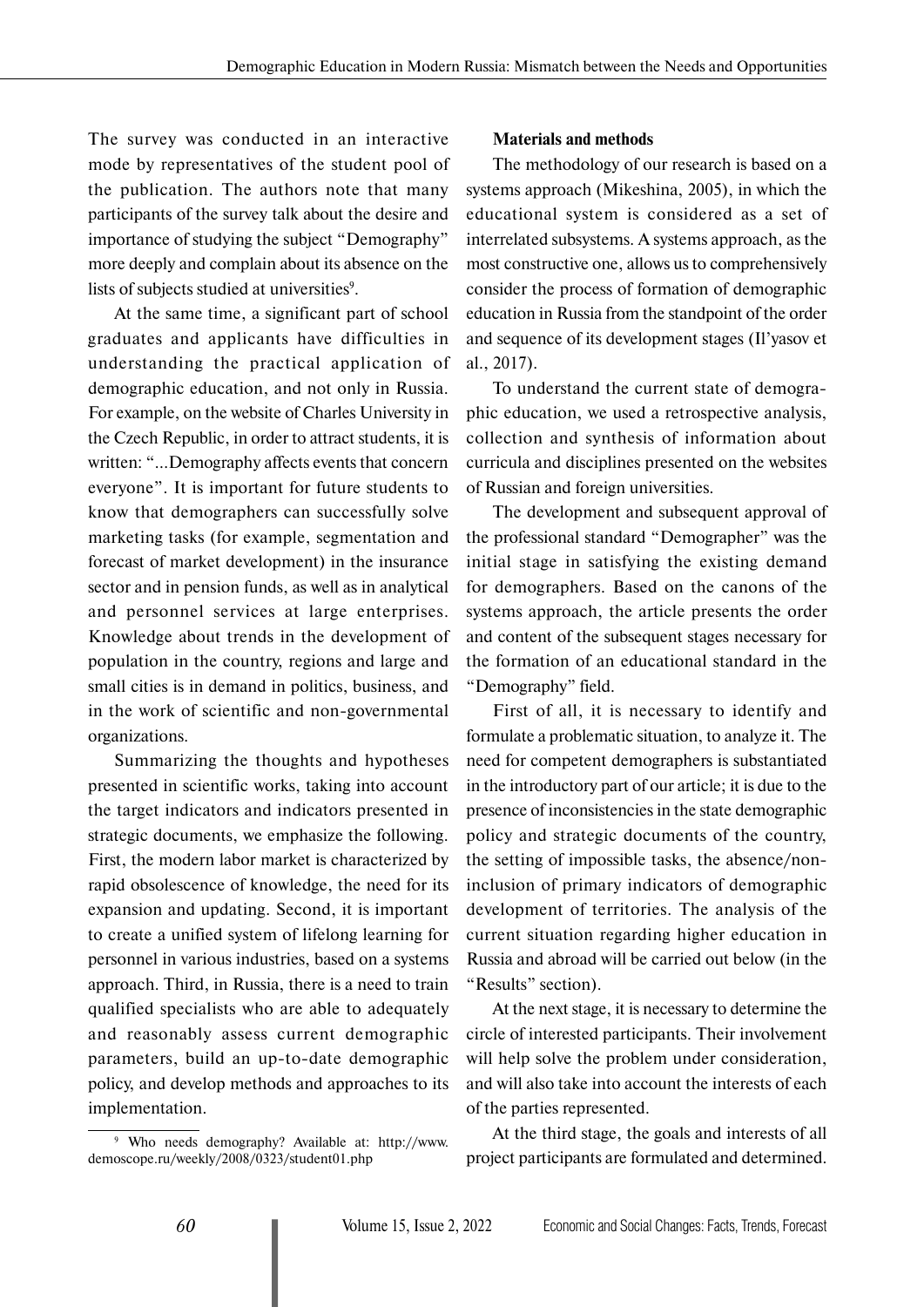The survey was conducted in an interactive mode by representatives of the student pool of the publication. The authors note that many participants of the survey talk about the desire and importance of studying the subject "Demography" more deeply and complain about its absence on the lists of subjects studied at universities<sup>9</sup>.

At the same time, a significant part of school graduates and applicants have difficulties in understanding the practical application of demographic education, and not only in Russia. For example, on the website of Charles University in the Czech Republic, in order to attract students, it is written: "...Demography affects events that concern everyone". It is important for future students to know that demographers can successfully solve marketing tasks (for example, segmentation and forecast of market development) in the insurance sector and in pension funds, as well as in analytical and personnel services at large enterprises. Knowledge about trends in the development of population in the country, regions and large and small cities is in demand in politics, business, and in the work of scientific and non-governmental organizations.

Summarizing the thoughts and hypotheses presented in scientific works, taking into account the target indicators and indicators presented in strategic documents, we emphasize the following. First, the modern labor market is characterized by rapid obsolescence of knowledge, the need for its expansion and updating. Second, it is important to create a unified system of lifelong learning for personnel in various industries, based on a systems approach. Third, in Russia, there is a need to train qualified specialists who are able to adequately and reasonably assess current demographic parameters, build an up-to-date demographic policy, and develop methods and approaches to its implementation.

#### **Materials and methods**

The methodology of our research is based on a systems approach (Mikeshina, 2005), in which the educational system is considered as a set of interrelated subsystems. A systems approach, as the most constructive one, allows us to comprehensively consider the process of formation of demographic education in Russia from the standpoint of the order and sequence of its development stages (Il'yasov et al., 2017).

To understand the current state of demographic education, we used a retrospective analysis, collection and synthesis of information about curricula and disciplines presented on the websites of Russian and foreign universities.

The development and subsequent approval of the professional standard "Demographer" was the initial stage in satisfying the existing demand for demographers. Based on the canons of the systems approach, the article presents the order and content of the subsequent stages necessary for the formation of an educational standard in the "Demography" field.

First of all, it is necessary to identify and formulate a problematic situation, to analyze it. The need for competent demographers is substantiated in the introductory part of our article; it is due to the presence of inconsistencies in the state demographic policy and strategic documents of the country, the setting of impossible tasks, the absence/noninclusion of primary indicators of demographic development of territories. The analysis of the current situation regarding higher education in Russia and abroad will be carried out below (in the "Results" section).

At the next stage, it is necessary to determine the circle of interested participants. Their involvement will help solve the problem under consideration, and will also take into account the interests of each of the parties represented.

At the third stage, the goals and interests of all project participants are formulated and determined.

<sup>9</sup> Who needs demography? Available at: http://www. demoscope.ru/weekly/2008/0323/student01.php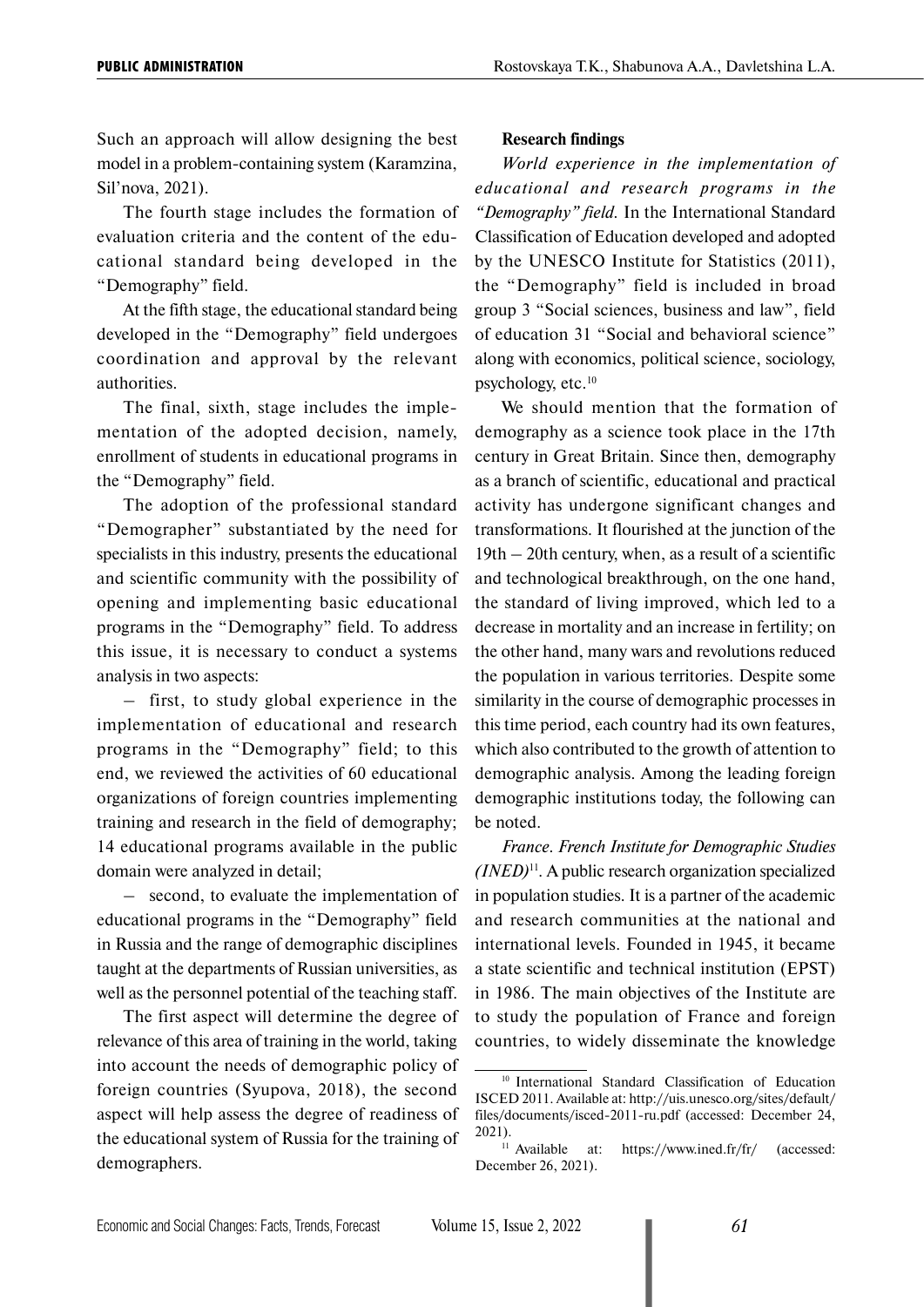Such an approach will allow designing the best model in a problem-containing system (Karamzina, Sil'nova, 2021).

The fourth stage includes the formation of evaluation criteria and the content of the educational standard being developed in the "Demography" field.

At the fifth stage, the educational standard being developed in the "Demography" field undergoes coordination and approval by the relevant authorities.

The final, sixth, stage includes the implementation of the adopted decision, namely, enrollment of students in educational programs in the "Demography" field.

The adoption of the professional standard "Demographer" substantiated by the need for specialists in this industry, presents the educational and scientific community with the possibility of opening and implementing basic educational programs in the "Demography" field. To address this issue, it is necessary to conduct a systems analysis in two aspects:

– first, to study global experience in the implementation of educational and research programs in the "Demography" field; to this end, we reviewed the activities of 60 educational organizations of foreign countries implementing training and research in the field of demography; 14 educational programs available in the public domain were analyzed in detail;

– second, to evaluate the implementation of educational programs in the "Demography" field in Russia and the range of demographic disciplines taught at the departments of Russian universities, as well as the personnel potential of the teaching staff.

The first aspect will determine the degree of relevance of this area of training in the world, taking into account the needs of demographic policy of foreign countries (Syupova, 2018), the second aspect will help assess the degree of readiness of the educational system of Russia for the training of demographers.

#### **Research findings**

*World experience in the implementation of educational and research programs in the "Demography" field.* In the International Standard Classification of Education developed and adopted by the UNESCO Institute for Statistics (2011), the "Demography" field is included in broad group 3 "Social sciences, business and law", field of education 31 "Social and behavioral science" along with economics, political science, sociology, psychology, etc.10

We should mention that the formation of demography as a science took place in the 17th century in Great Britain. Since then, demography as a branch of scientific, educational and practical activity has undergone significant changes and transformations. It flourished at the junction of the 19th – 20th century, when, as a result of a scientific and technological breakthrough, on the one hand, the standard of living improved, which led to a decrease in mortality and an increase in fertility; on the other hand, many wars and revolutions reduced the population in various territories. Despite some similarity in the course of demographic processes in this time period, each country had its own features, which also contributed to the growth of attention to demographic analysis. Among the leading foreign demographic institutions today, the following can be noted.

*France. French Institute for Demographic Studies (INED)*11*.* A public research organization specialized in population studies. It is a partner of the academic and research communities at the national and international levels. Founded in 1945, it became a state scientific and technical institution (EPST) in 1986. The main objectives of the Institute are to study the population of France and foreign countries, to widely disseminate the knowledge

<sup>10</sup> International Standard Classification of Education ISCED 2011. Available at: http://uis.unesco.org/sites/default/ files/documents/isced-2011-ru.pdf (accessed: December 24, 2021).<br> $11$  Available

at: https://www.ined.fr/fr/ (accessed: December 26, 2021).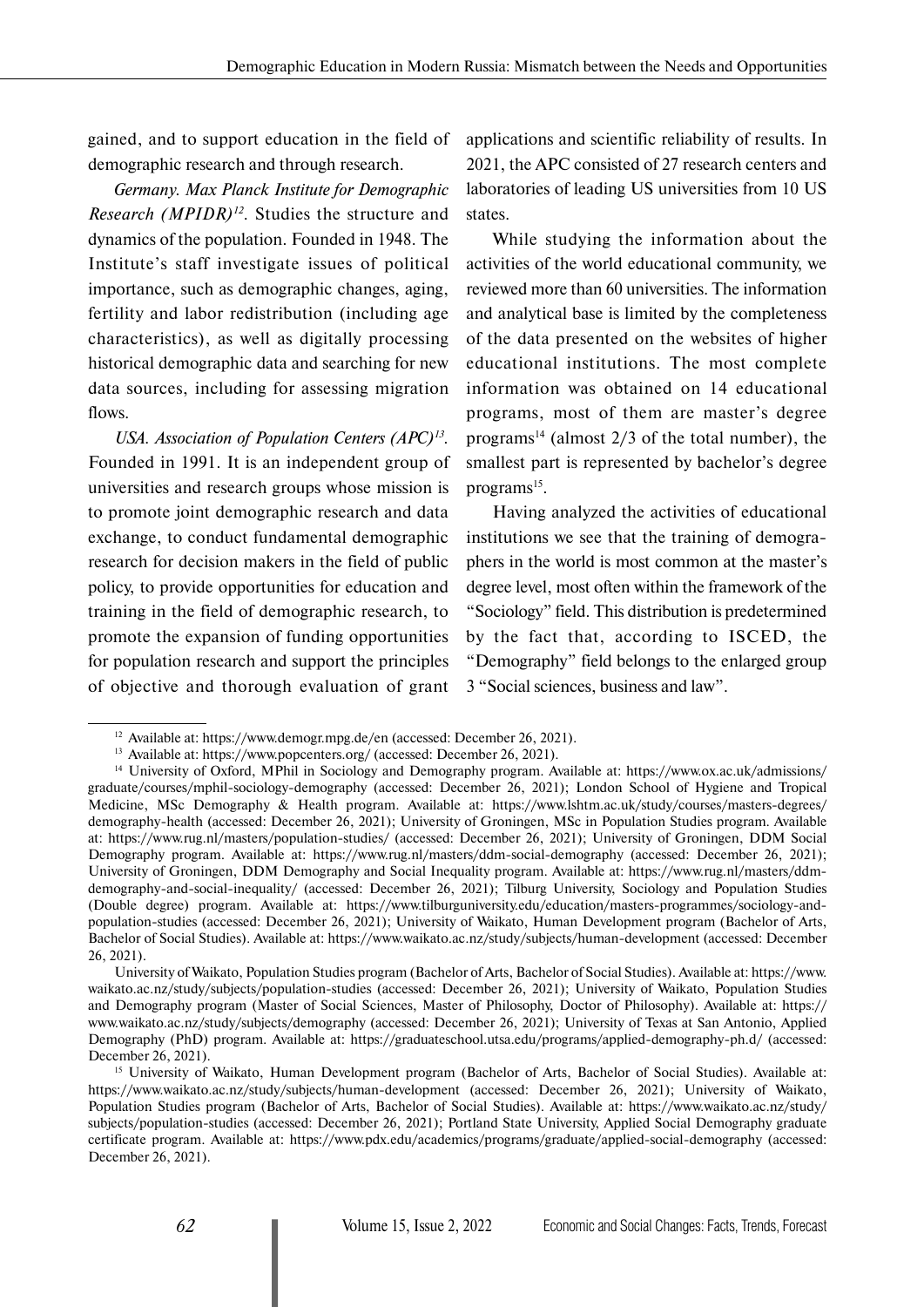gained, and to support education in the field of demographic research and through research.

*Germany. Max Planck Institute for Demographic Research (MPIDR)12*. Studies the structure and dynamics of the population. Founded in 1948. The Institute's staff investigate issues of political importance, such as demographic changes, aging, fertility and labor redistribution (including age characteristics), as well as digitally processing historical demographic data and searching for new data sources, including for assessing migration flows.

*USA. Association of Population Centers (APC)13.* Founded in 1991. It is an independent group of universities and research groups whose mission is to promote joint demographic research and data exchange, to conduct fundamental demographic research for decision makers in the field of public policy, to provide opportunities for education and training in the field of demographic research, to promote the expansion of funding opportunities for population research and support the principles of objective and thorough evaluation of grant applications and scientific reliability of results. In 2021, the APC consisted of 27 research centers and laboratories of leading US universities from 10 US states.

While studying the information about the activities of the world educational community, we reviewed more than 60 universities. The information and analytical base is limited by the completeness of the data presented on the websites of higher educational institutions. The most complete information was obtained on 14 educational programs, most of them are master's degree programs<sup>14</sup> (almost  $2/3$  of the total number), the smallest part is represented by bachelor's degree programs<sup>15</sup>.

Having analyzed the activities of educational institutions we see that the training of demographers in the world is most common at the master's degree level, most often within the framework of the "Sociology" field. This distribution is predetermined by the fact that, according to ISCED, the "Demography" field belongs to the enlarged group 3 "Social sciences, business and law".

University of Waikato, Population Studies program (Bachelor of Arts, Bachelor of Social Studies). Available at: https://www. waikato.ac.nz/study/subjects/population-studies (accessed: December 26, 2021); University of Waikato, Population Studies and Demography program (Master of Social Sciences, Master of Philosophy, Doctor of Philosophy). Available at: https:// www.waikato.ac.nz/study/subjects/demography (accessed: December 26, 2021); University of Texas at San Antonio, Applied Demography (PhD) program. Available at: https://graduateschool.utsa.edu/programs/applied-demography-ph.d/ (accessed: December 26, 2021).

<sup>&</sup>lt;sup>12</sup> Available at: https://www.demogr.mpg.de/en (accessed: December 26, 2021).

<sup>13</sup> Available at: https://www.popcenters.org/ (accessed: December 26, 2021).

<sup>14</sup> University of Oxford, MPhil in Sociology and Demography program. Available at: https://www.ox.ac.uk/admissions/ graduate/courses/mphil-sociology-demography (accessed: December 26, 2021); London School of Hygiene and Tropical Medicine, MSc Demography & Health program. Available at: https://www.lshtm.ac.uk/study/courses/masters-degrees/ demography-health (accessed: December 26, 2021); University of Groningen, MSc in Population Studies program. Available at: https://www.rug.nl/masters/population-studies/ (accessed: December 26, 2021); University of Groningen, DDM Social Demography program. Available at: https://www.rug.nl/masters/ddm-social-demography (accessed: December 26, 2021); University of Groningen, DDM Demography and Social Inequality program. Available at: https://www.rug.nl/masters/ddmdemography-and-social-inequality/ (accessed: December 26, 2021); Tilburg University, Sociology and Population Studies (Double degree) program. Available at: https://www.tilburguniversity.edu/education/masters-programmes/sociology-andpopulation-studies (accessed: December 26, 2021); University of Waikato, Human Development program (Bachelor of Arts, Bachelor of Social Studies). Available at: https://www.waikato.ac.nz/study/subjects/human-development (accessed: December 26, 2021).

<sup>&</sup>lt;sup>15</sup> University of Waikato, Human Development program (Bachelor of Arts, Bachelor of Social Studies). Available at: https://www.waikato.ac.nz/study/subjects/human-development (accessed: December 26, 2021); University of Waikato, Population Studies program (Bachelor of Arts, Bachelor of Social Studies). Available at: https://www.waikato.ac.nz/study/ subjects/population-studies (accessed: December 26, 2021); Portland State University, Applied Social Demography graduate certificate program. Available at: https://www.pdx.edu/academics/programs/graduate/applied-social-demography (accessed: December 26, 2021).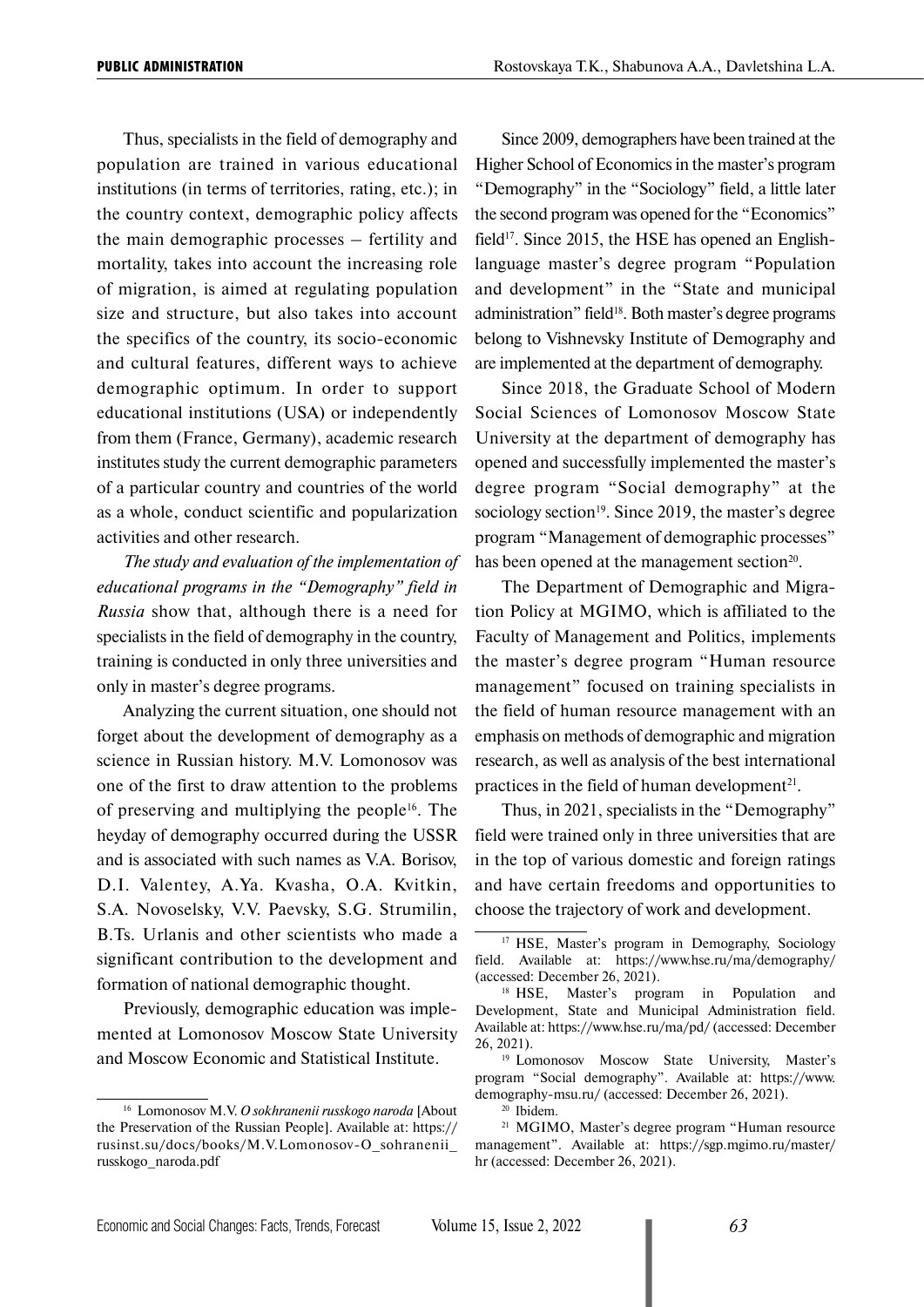Thus, specialists in the field of demography and population are trained in various educational institutions (in terms of territories, rating, etc.); in the country context, demographic policy affects the main demographic processes – fertility and mortality, takes into account the increasing role of migration, is aimed at regulating population size and structure, but also takes into account the specifics of the country, its socio-economic and cultural features, different ways to achieve demographic optimum. In order to support educational institutions (USA) or independently from them (France, Germany), academic research institutes study the current demographic parameters of a particular country and countries of the world as a whole, conduct scientific and popularization activities and other research.

*The study and evaluation of the implementation of educational programs in the "Demography" field in Russia* show that, although there is a need for specialists in the field of demography in the country, training is conducted in only three universities and only in master's degree programs.

Analyzing the current situation, one should not forget about the development of demography as a science in Russian history. M.V. Lomonosov was one of the first to draw attention to the problems of preserving and multiplying the people<sup>16</sup>. The heyday of demography occurred during the USSR and is associated with such names as V.A. Borisov, D.I. Valentey, A.Ya. Kvasha, O.A. Kvitkin, S.A. Novoselsky, V.V. Paevsky, S.G. Strumilin, B.Ts. Urlanis and other scientists who made a significant contribution to the development and formation of national demographic thought.

Previously, demographic education was implemented at Lomonosov Moscow State University and Moscow Economic and Statistical Institute.

Since 2009, demographers have been trained at the Higher School of Economics in the master's program "Demography" in the "Sociology" field, a little later the second program was opened for the "Economics" field<sup>17</sup>. Since 2015, the HSE has opened an Englishlanguage master's degree program "Population and development" in the "State and municipal administration" field<sup>18</sup>. Both master's degree programs belong to Vishnevsky Institute of Demography and are implemented at the department of demography.

Since 2018, the Graduate School of Modern Social Sciences of Lomonosov Moscow State University at the department of demography has opened and successfully implemented the master's degree program "Social demography" at the sociology section<sup>19</sup>. Since 2019, the master's degree program "Management of demographic processes" has been opened at the management section<sup>20</sup>.

The Department of Demographic and Migration Policy at MGIMO, which is affiliated to the Faculty of Management and Politics, implements the master's degree program "Human resource management" focused on training specialists in the field of human resource management with an emphasis on methods of demographic and migration research, as well as analysis of the best international practices in the field of human development<sup>21</sup>.

Thus, in 2021, specialists in the "Demography" field were trained only in three universities that are in the top of various domestic and foreign ratings and have certain freedoms and opportunities to choose the trajectory of work and development.

<sup>16</sup> Lomonosov M.V. *O sokhranenii russkogo naroda* [About the Preservation of the Russian People]. Available at: https:// rusinst.su/docs/books/M.V.Lomonosov-O\_sohranenii\_ russkogo\_naroda.pdf

<sup>&</sup>lt;sup>17</sup> HSE, Master's program in Demography, Sociology field. Available at: https://www.hse.ru/ma/demography/ (accessed: December 26, 2021).

<sup>&</sup>lt;sup>18</sup> HSE, Master's program in Population and Development, State and Municipal Administration field. Available at: https://www.hse.ru/ma/pd/ (accessed: December 26, 2021). 19 Lomonosov Moscow State University, Master's

program "Social demography". Available at: https://www. demography-msu.ru/ (accessed: December 26, 2021).

<sup>20</sup> Ibidem.

<sup>21</sup> MGIMO, Master's degree program "Human resource management". Available at: https://sgp.mgimo.ru/master/ hr (accessed: December 26, 2021).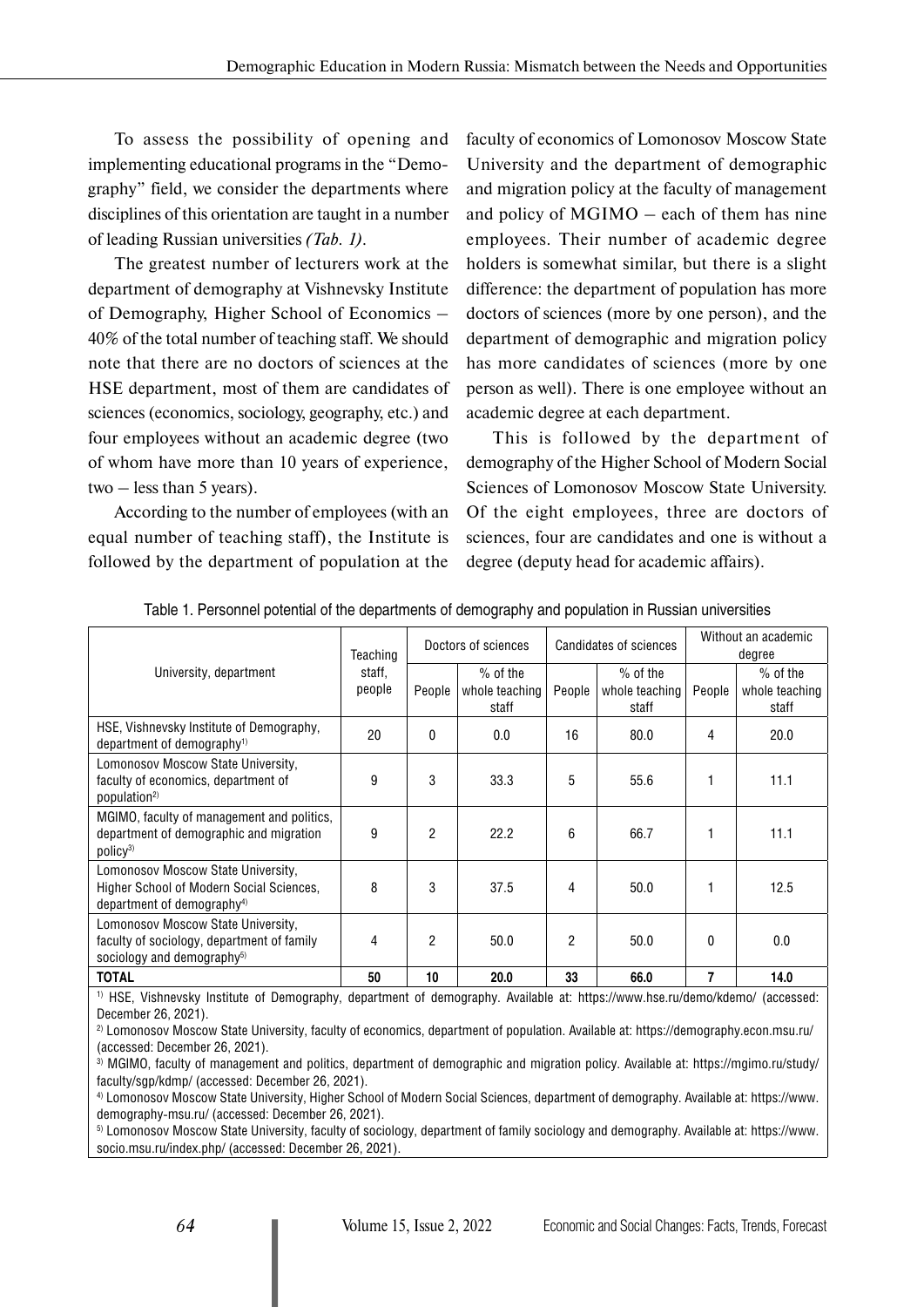To assess the possibility of opening and implementing educational programs in the "Demography" field, we consider the departments where disciplines of this orientation are taught in a number of leading Russian universities *(Tab. 1)*.

The greatest number of lecturers work at the department of demography at Vishnevsky Institute of Demography, Higher School of Economics – 40% of the total number of teaching staff. We should note that there are no doctors of sciences at the HSE department, most of them are candidates of sciences (economics, sociology, geography, etc.) and four employees without an academic degree (two of whom have more than 10 years of experience, two  $-$  less than 5 years).

According to the number of employees (with an equal number of teaching staff), the Institute is followed by the department of population at the

faculty of economics of Lomonosov Moscow State University and the department of demographic and migration policy at the faculty of management and policy of MGIMO – each of them has nine employees. Their number of academic degree holders is somewhat similar, but there is a slight difference: the department of population has more doctors of sciences (more by one person), and the department of demographic and migration policy has more candidates of sciences (more by one person as well). There is one employee without an academic degree at each department.

This is followed by the department of demography of the Higher School of Modern Social Sciences of Lomonosov Moscow State University. Of the eight employees, three are doctors of sciences, four are candidates and one is without a degree (deputy head for academic affairs).

| University, department                                                                                                   | Teaching<br>staff,<br>people | Doctors of sciences |                                       | Candidates of sciences |                                       | Without an academic<br>degree |                                       |
|--------------------------------------------------------------------------------------------------------------------------|------------------------------|---------------------|---------------------------------------|------------------------|---------------------------------------|-------------------------------|---------------------------------------|
|                                                                                                                          |                              | People              | $%$ of the<br>whole teaching<br>staff | People                 | $%$ of the<br>whole teaching<br>staff | People                        | $%$ of the<br>whole teaching<br>staff |
| HSE, Vishnevsky Institute of Demography,<br>department of demography <sup>1)</sup>                                       | 20                           | $\Omega$            | 0.0                                   | 16                     | 80.0                                  | 4                             | 20.0                                  |
| Lomonosov Moscow State University,<br>faculty of economics, department of<br>population <sup>2)</sup>                    | 9                            | 3                   | 33.3                                  | 5                      | 55.6                                  |                               | 11.1                                  |
| MGIMO, faculty of management and politics,<br>department of demographic and migration<br>policy <sup>3)</sup>            | 9                            | $\mathfrak{p}$      | 22.2                                  | 6                      | 66.7                                  |                               | 11.1                                  |
| Lomonosov Moscow State University,<br>Higher School of Modern Social Sciences,<br>department of demography <sup>4)</sup> | 8                            | 3                   | 37.5                                  | 4                      | 50.0                                  |                               | 12.5                                  |
| Lomonosov Moscow State University,<br>faculty of sociology, department of family<br>sociology and demography $5$         | 4                            | $\mathfrak{p}$      | 50.0                                  | 2                      | 50.0                                  | 0                             | 0.0                                   |
| <b>TOTAL</b>                                                                                                             | 50                           | 10                  | 20.0                                  | 33                     | 66.0                                  |                               | 14.0                                  |

Table 1. Personnel potential of the departments of demography and population in Russian universities

1) HSE, Vishnevsky Institute of Demography, department of demography. Available at: https://www.hse.ru/demo/kdemo/ (accessed: December 26, 2021).

2) Lomonosov Moscow State University, faculty of economics, department of population. Available at: https://demography.econ.msu.ru/ (accessed: December 26, 2021).

3) MGIMO, faculty of management and politics, department of demographic and migration policy. Available at: https://mgimo.ru/study/ faculty/sgp/kdmp/ (accessed: December 26, 2021).

4) Lomonosov Moscow State University, Higher School of Modern Social Sciences, department of demography. Available at: https://www. demography-msu.ru/ (accessed: December 26, 2021).

5) Lomonosov Moscow State University, faculty of sociology, department of family sociology and demography. Available at: https://www. socio.msu.ru/index.php/ (accessed: December 26, 2021).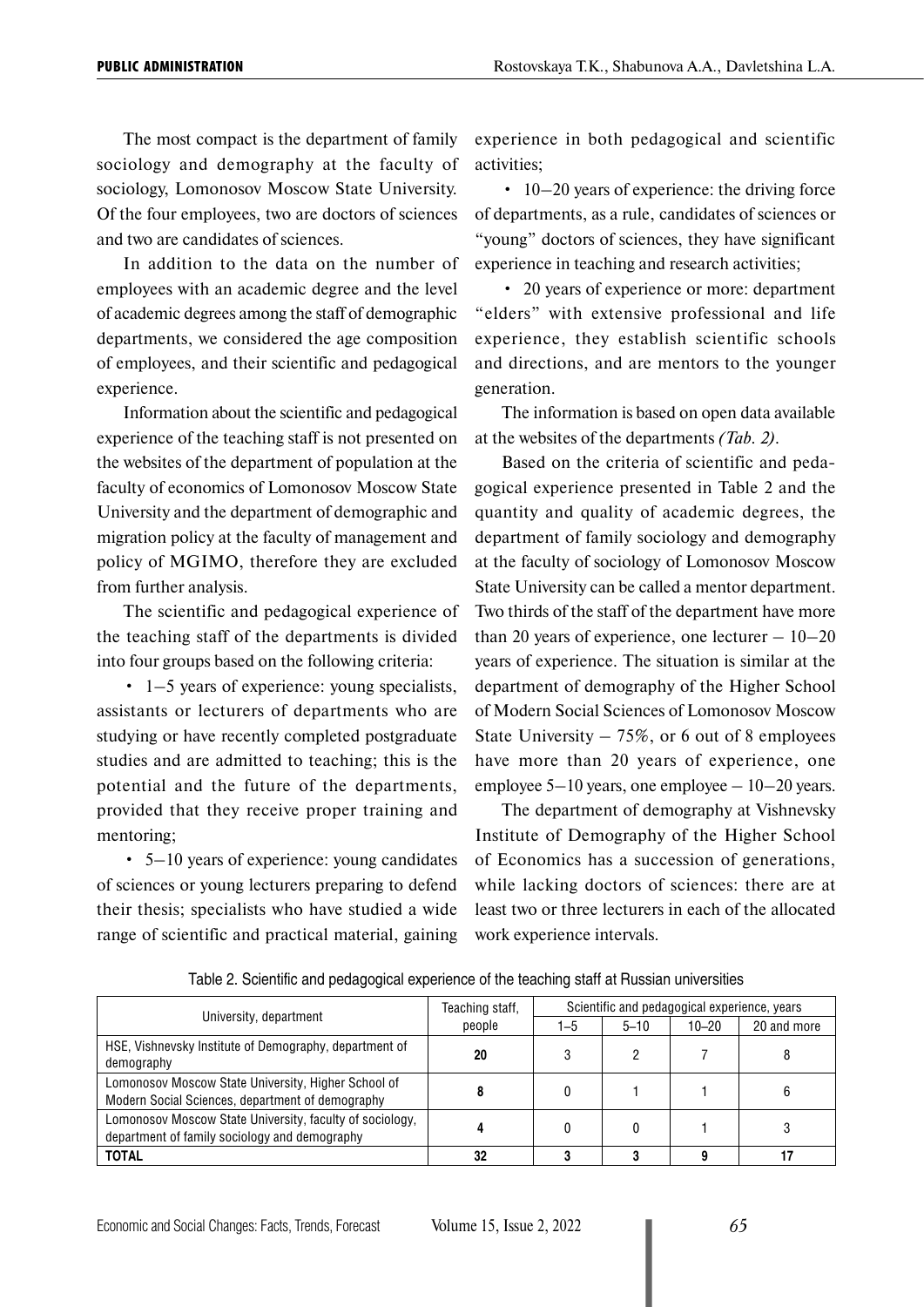The most compact is the department of family sociology and demography at the faculty of sociology, Lomonosov Moscow State University. Of the four employees, two are doctors of sciences and two are candidates of sciences.

In addition to the data on the number of employees with an academic degree and the level of academic degrees among the staff of demographic departments, we considered the age composition of employees, and their scientific and pedagogical experience.

Information about the scientific and pedagogical experience of the teaching staff is not presented on the websites of the department of population at the faculty of economics of Lomonosov Moscow State University and the department of demographic and migration policy at the faculty of management and policy of MGIMO, therefore they are excluded from further analysis.

The scientific and pedagogical experience of the teaching staff of the departments is divided into four groups based on the following criteria:

• 1–5 years of experience: young specialists, assistants or lecturers of departments who are studying or have recently completed postgraduate studies and are admitted to teaching; this is the potential and the future of the departments, provided that they receive proper training and mentoring;

• 5–10 years of experience: young candidates of sciences or young lecturers preparing to defend their thesis; specialists who have studied a wide range of scientific and practical material, gaining experience in both pedagogical and scientific activities;

• 10–20 years of experience: the driving force of departments, as a rule, candidates of sciences or "young" doctors of sciences, they have significant experience in teaching and research activities;

• 20 years of experience or more: department "elders" with extensive professional and life experience, they establish scientific schools and directions, and are mentors to the younger generation.

The information is based on open data available at the websites of the departments *(Tab. 2)*.

Based on the criteria of scientific and pedagogical experience presented in Table 2 and the quantity and quality of academic degrees, the department of family sociology and demography at the faculty of sociology of Lomonosov Moscow State University can be called a mentor department. Two thirds of the staff of the department have more than 20 years of experience, one lecturer  $-10-20$ years of experience. The situation is similar at the department of demography of the Higher School of Modern Social Sciences of Lomonosov Moscow State University  $-75\%$ , or 6 out of 8 employees have more than 20 years of experience, one employee  $5-10$  years, one employee  $-10-20$  years.

The department of demography at Vishnevsky Institute of Demography of the Higher School of Economics has a succession of generations, while lacking doctors of sciences: there are at least two or three lecturers in each of the allocated work experience intervals.

| University, department                                                                                    | Teaching staff,<br>people | Scientific and pedagogical experience, years |          |           |             |  |
|-----------------------------------------------------------------------------------------------------------|---------------------------|----------------------------------------------|----------|-----------|-------------|--|
|                                                                                                           |                           | 1–5                                          | $5 - 10$ | $10 - 20$ | 20 and more |  |
| HSE, Vishnevsky Institute of Demography, department of<br>demography                                      | 20                        |                                              |          |           |             |  |
| Lomonosov Moscow State University, Higher School of<br>Modern Social Sciences, department of demography   |                           |                                              |          |           |             |  |
| Lomonosov Moscow State University, faculty of sociology,<br>department of family sociology and demography |                           |                                              |          |           |             |  |
| <b>TOTAL</b>                                                                                              | 32                        |                                              |          |           |             |  |

Table 2. Scientific and pedagogical experience of the teaching staff at Russian universities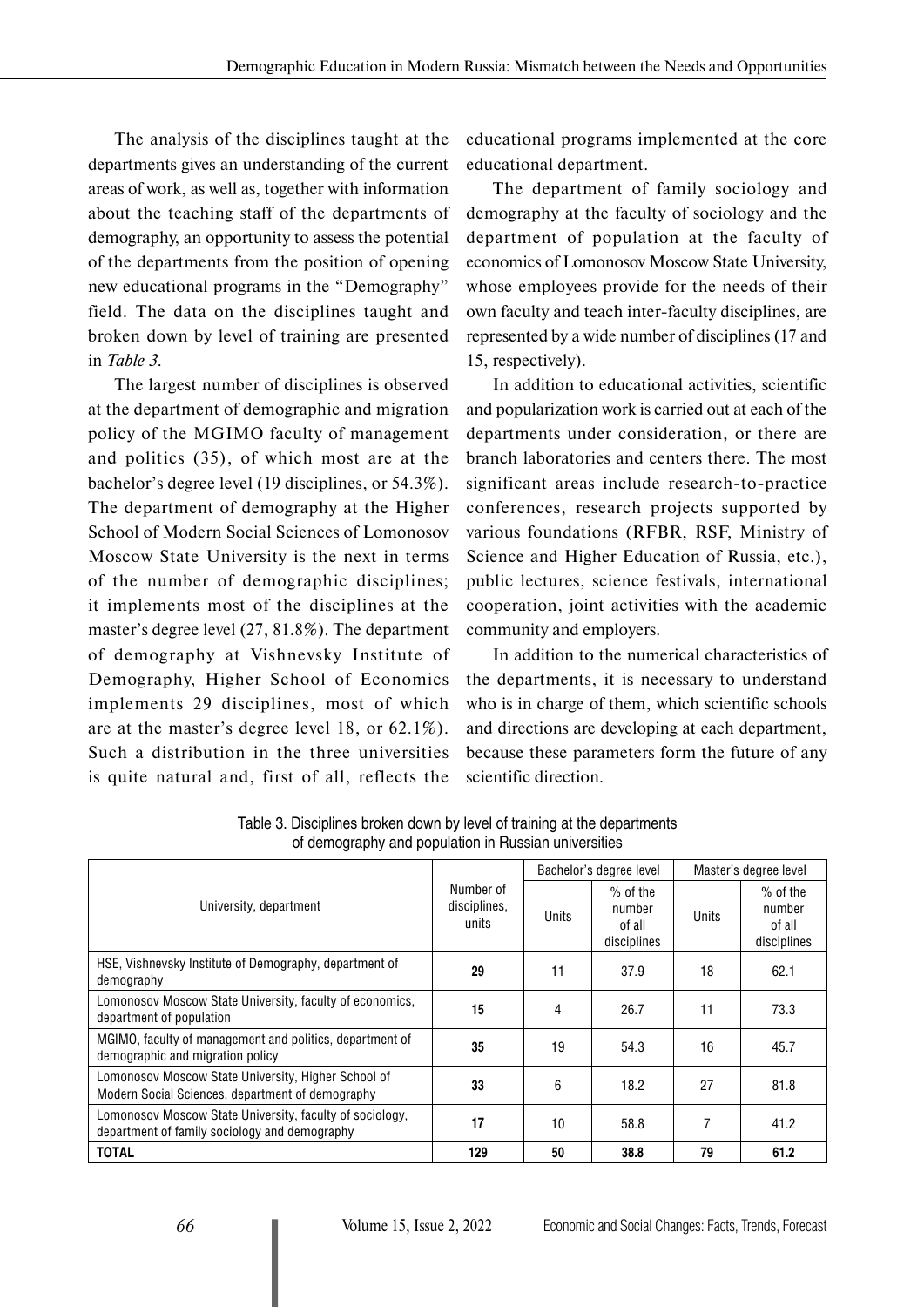The analysis of the disciplines taught at the departments gives an understanding of the current areas of work, as well as, together with information about the teaching staff of the departments of demography, an opportunity to assess the potential of the departments from the position of opening new educational programs in the "Demography" field. The data on the disciplines taught and broken down by level of training are presented in *Table 3*.

The largest number of disciplines is observed at the department of demographic and migration policy of the MGIMO faculty of management and politics (35), of which most are at the bachelor's degree level (19 disciplines, or 54.3%). The department of demography at the Higher School of Modern Social Sciences of Lomonosov Moscow State University is the next in terms of the number of demographic disciplines; it implements most of the disciplines at the master's degree level (27, 81.8%). The department of demography at Vishnevsky Institute of Demography, Higher School of Economics implements 29 disciplines, most of which are at the master's degree level 18, or 62.1%). Such a distribution in the three universities is quite natural and, first of all, reflects the

educational programs implemented at the core educational department.

The department of family sociology and demography at the faculty of sociology and the department of population at the faculty of economics of Lomonosov Moscow State University, whose employees provide for the needs of their own faculty and teach inter-faculty disciplines, are represented by a wide number of disciplines (17 and 15, respectively).

In addition to educational activities, scientific and popularization work is carried out at each of the departments under consideration, or there are branch laboratories and centers there. The most significant areas include research-to-practice conferences, research projects supported by various foundations (RFBR, RSF, Ministry of Science and Higher Education of Russia, etc.), public lectures, science festivals, international cooperation, joint activities with the academic community and employers.

In addition to the numerical characteristics of the departments, it is necessary to understand who is in charge of them, which scientific schools and directions are developing at each department, because these parameters form the future of any scientific direction.

|                                                                                                           | Number of<br>disciplines,<br>units | Bachelor's degree level |                                               | Master's degree level |                                               |
|-----------------------------------------------------------------------------------------------------------|------------------------------------|-------------------------|-----------------------------------------------|-----------------------|-----------------------------------------------|
| University, department                                                                                    |                                    | Units                   | $%$ of the<br>number<br>of all<br>disciplines | Units                 | $%$ of the<br>number<br>of all<br>disciplines |
| HSE, Vishnevsky Institute of Demography, department of<br>demography                                      | 29                                 | 11                      | 37.9                                          | 18                    | 62.1                                          |
| Lomonosov Moscow State University, faculty of economics,<br>department of population                      | 15                                 | 4                       | 26.7                                          | 11                    | 73.3                                          |
| MGIMO, faculty of management and politics, department of<br>demographic and migration policy              | 35                                 | 19                      | 54.3                                          | 16                    | 45.7                                          |
| Lomonosov Moscow State University, Higher School of<br>Modern Social Sciences, department of demography   | 33                                 | 6                       | 18.2                                          | 27                    | 81.8                                          |
| Lomonosov Moscow State University, faculty of sociology,<br>department of family sociology and demography | 17                                 | 10                      | 58.8                                          | 7                     | 41.2                                          |
| <b>TOTAL</b>                                                                                              | 129                                | 50                      | 38.8                                          | 79                    | 61.2                                          |

Table 3. Disciplines broken down by level of training at the departments of demography and population in Russian universities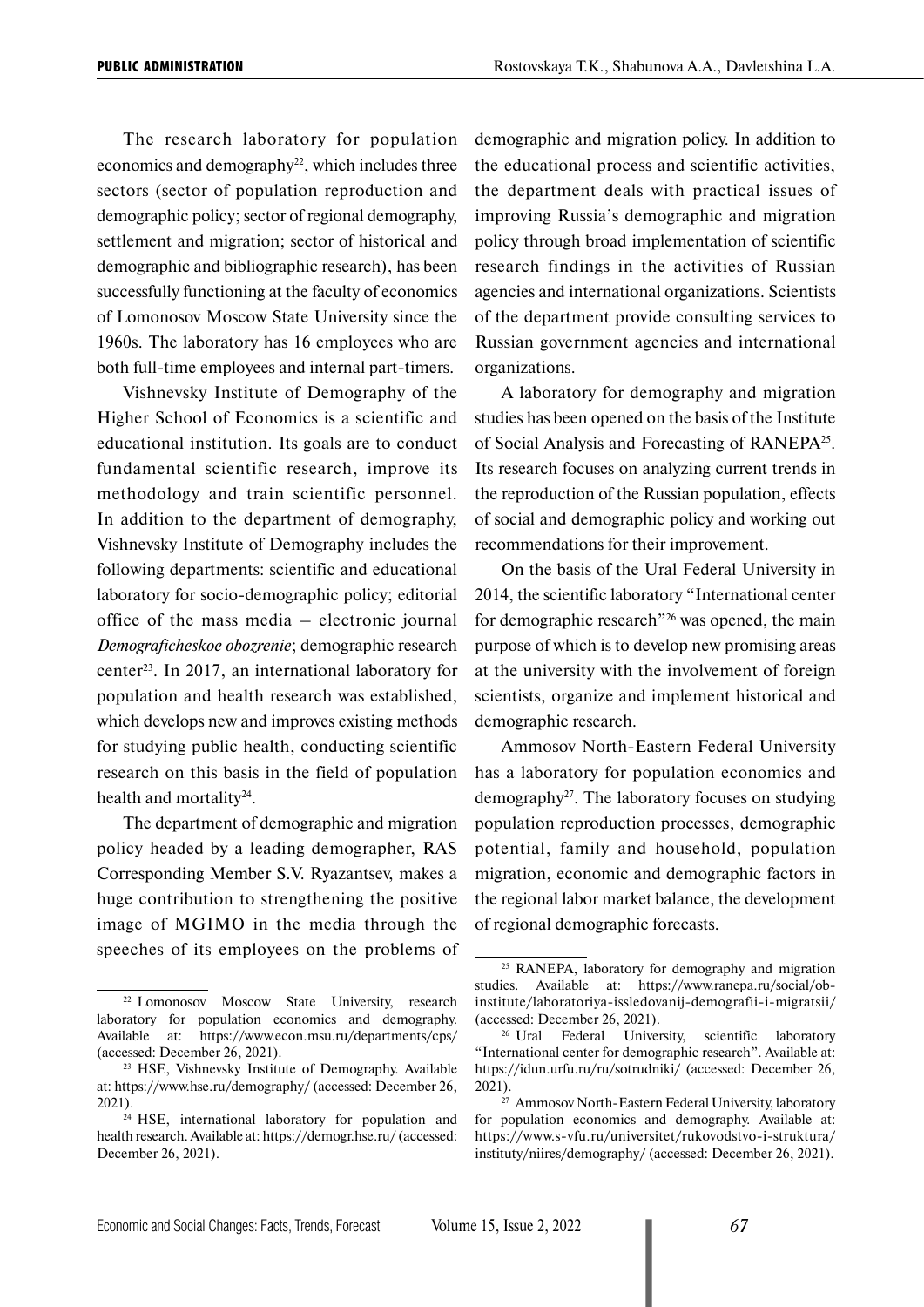The research laboratory for population economics and demography<sup>22</sup>, which includes three sectors (sector of population reproduction and demographic policy; sector of regional demography, settlement and migration; sector of historical and demographic and bibliographic research), has been successfully functioning at the faculty of economics of Lomonosov Moscow State University since the 1960s. The laboratory has 16 employees who are both full-time employees and internal part-timers.

Vishnevsky Institute of Demography of the Higher School of Economics is a scientific and educational institution. Its goals are to conduct fundamental scientific research, improve its methodology and train scientific personnel. In addition to the department of demography, Vishnevsky Institute of Demography includes the following departments: scientific and educational laboratory for socio-demographic policy; editorial office of the mass media – electronic journal *Demograficheskoe obozrenie*; demographic research center23. In 2017, an international laboratory for population and health research was established, which develops new and improves existing methods for studying public health, conducting scientific research on this basis in the field of population health and mortality<sup>24</sup>.

The department of demographic and migration policy headed by a leading demographer, RAS Corresponding Member S.V. Ryazantsev, makes a huge contribution to strengthening the positive image of MGIMO in the media through the speeches of its employees on the problems of demographic and migration policy. In addition to the educational process and scientific activities, the department deals with practical issues of improving Russia's demographic and migration policy through broad implementation of scientific research findings in the activities of Russian agencies and international organizations. Scientists of the department provide consulting services to Russian government agencies and international organizations.

A laboratory for demography and migration studies has been opened on the basis of the Institute of Social Analysis and Forecasting of RANEPA25. Its research focuses on analyzing current trends in the reproduction of the Russian population, effects of social and demographic policy and working out recommendations for their improvement.

On the basis of the Ural Federal University in 2014, the scientific laboratory "International center for demographic research"26 was opened, the main purpose of which is to develop new promising areas at the university with the involvement of foreign scientists, organize and implement historical and demographic research.

Ammosov North-Eastern Federal University has a laboratory for population economics and demography27. The laboratory focuses on studying population reproduction processes, demographic potential, family and household, population migration, economic and demographic factors in the regional labor market balance, the development of regional demographic forecasts.

<sup>22</sup> Lomonosov Moscow State University, research laboratory for population economics and demography. Available at: https://www.econ.msu.ru/departments/cps/ (accessed: December 26, 2021).

<sup>23</sup> HSE, Vishnevsky Institute of Demography. Available at: https://www.hse.ru/demography/ (accessed: December 26, 2021).

<sup>&</sup>lt;sup>24</sup> HSE, international laboratory for population and health research. Available at: https://demogr.hse.ru/ (accessed: December 26, 2021).

<sup>&</sup>lt;sup>25</sup> RANEPA, laboratory for demography and migration studies. Available at: https://www.ranepa.ru/social/obinstitute/laboratoriya-issledovanij-demografii-i-migratsii/ (accessed: December 26, 2021).

<sup>&</sup>lt;sup>26</sup> Ural Federal University, scientific laboratory "International center for demographic research". Available at: https://idun.urfu.ru/ru/sotrudniki/ (accessed: December 26, 2021).

<sup>27</sup> Ammosov North-Eastern Federal University, laboratory for population economics and demography. Available at: https://www.s-vfu.ru/universitet/rukovodstvo-i-struktura/ instituty/niires/demography/ (accessed: December 26, 2021).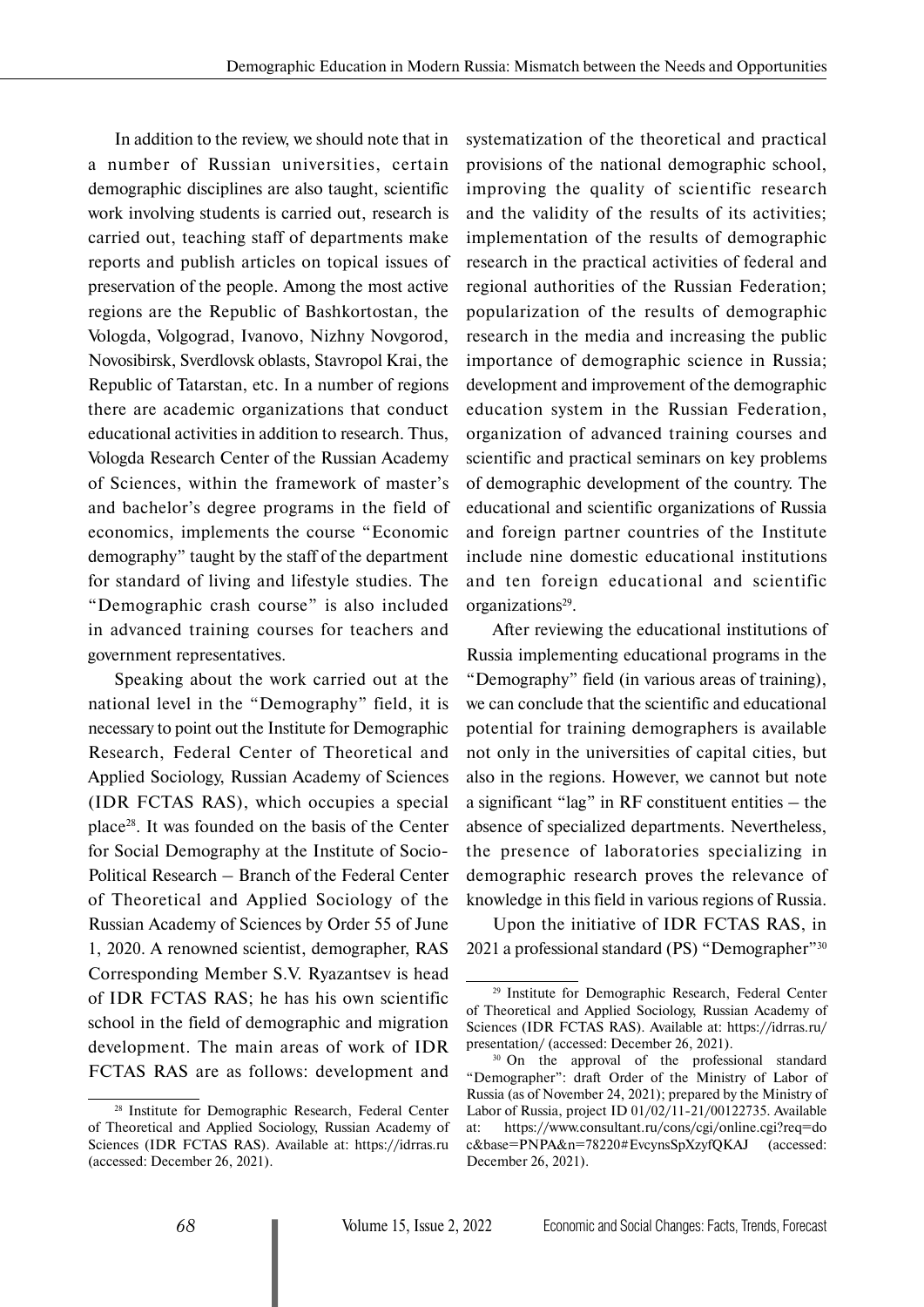In addition to the review, we should note that in a number of Russian universities, certain demographic disciplines are also taught, scientific work involving students is carried out, research is carried out, teaching staff of departments make reports and publish articles on topical issues of preservation of the people. Among the most active regions are the Republic of Bashkortostan, the Vologda, Volgograd, Ivanovo, Nizhny Novgorod, Novosibirsk, Sverdlovsk oblasts, Stavropol Krai, the Republic of Tatarstan, etc. In a number of regions there are academic organizations that conduct educational activities in addition to research. Thus, Vologda Research Center of the Russian Academy of Sciences, within the framework of master's and bachelor's degree programs in the field of economics, implements the course "Economic demography" taught by the staff of the department for standard of living and lifestyle studies. The "Demographic crash course" is also included in advanced training courses for teachers and government representatives.

Speaking about the work carried out at the national level in the "Demography" field, it is necessary to point out the Institute for Demographic Research, Federal Center of Theoretical and Applied Sociology, Russian Academy of Sciences (IDR FCTAS RAS), which occupies a special place28. It was founded on the basis of the Center for Social Demography at the Institute of Socio-Political Research – Branch of the Federal Center of Theoretical and Applied Sociology of the Russian Academy of Sciences by Order 55 of June 1, 2020. A renowned scientist, demographer, RAS Corresponding Member S.V. Ryazantsev is head of IDR FCTAS RAS; he has his own scientific school in the field of demographic and migration development. The main areas of work of IDR FCTAS RAS are as follows: development and systematization of the theoretical and practical provisions of the national demographic school, improving the quality of scientific research and the validity of the results of its activities; implementation of the results of demographic research in the practical activities of federal and regional authorities of the Russian Federation; popularization of the results of demographic research in the media and increasing the public importance of demographic science in Russia; development and improvement of the demographic education system in the Russian Federation, organization of advanced training courses and scientific and practical seminars on key problems of demographic development of the country. The educational and scientific organizations of Russia and foreign partner countries of the Institute include nine domestic educational institutions and ten foreign educational and scientific organizations<sup>29</sup>.

After reviewing the educational institutions of Russia implementing educational programs in the "Demography" field (in various areas of training), we can conclude that the scientific and educational potential for training demographers is available not only in the universities of capital cities, but also in the regions. However, we cannot but note a significant "lag" in RF constituent entities – the absence of specialized departments. Nevertheless, the presence of laboratories specializing in demographic research proves the relevance of knowledge in this field in various regions of Russia.

Upon the initiative of IDR FCTAS RAS, in 2021 a professional standard (PS) "Demographer"30

<sup>28</sup> Institute for Demographic Research, Federal Center of Theoretical and Applied Sociology, Russian Academy of Sciences (IDR FCTAS RAS). Available at: https://idrras.ru (accessed: December 26, 2021).

<sup>29</sup> Institute for Demographic Research, Federal Center of Theoretical and Applied Sociology, Russian Academy of Sciences (IDR FCTAS RAS). Available at: https://idrras.ru/

presentation/ (accessed: December 26, 2021).<br><sup>30</sup> On the approval of the professional standard "Demographer": draft Order of the Ministry of Labor of Russia (as of November 24, 2021); prepared by the Ministry of Labor of Russia, project ID 01/02/11-21/00122735. Available at: https://www.consultant.ru/cons/cgi/online.cgi?req=do c&base=PNPA&n=78220#EvcynsSpXzyfQKAJ (accessed: December 26, 2021).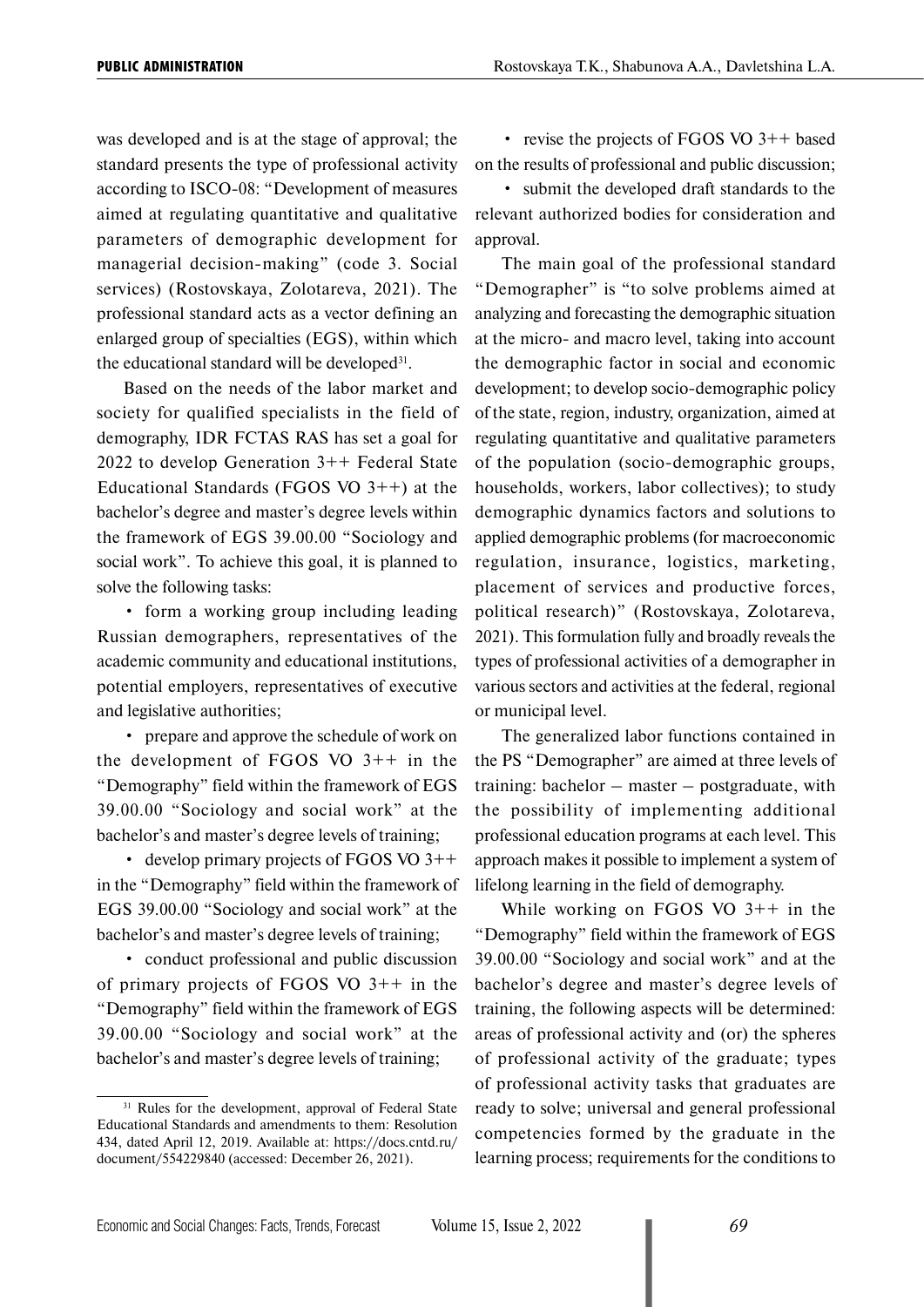was developed and is at the stage of approval; the standard presents the type of professional activity according to ISCO-08: "Development of measures aimed at regulating quantitative and qualitative parameters of demographic development for managerial decision-making" (code 3. Social services) (Rostovskaya, Zolotareva, 2021). The professional standard acts as a vector defining an enlarged group of specialties (EGS), within which the educational standard will be developed<sup>31</sup>.

Based on the needs of the labor market and society for qualified specialists in the field of demography, IDR FCTAS RAS has set a goal for 2022 to develop Generation 3++ Federal State Educational Standards (FGOS VO 3++) at the bachelor's degree and master's degree levels within the framework of EGS 39.00.00 "Sociology and social work". To achieve this goal, it is planned to solve the following tasks:

• form a working group including leading Russian demographers, representatives of the academic community and educational institutions, potential employers, representatives of executive and legislative authorities;

• prepare and approve the schedule of work on the development of FGOS VO  $3++$  in the "Demography" field within the framework of EGS 39.00.00 "Sociology and social work" at the bachelor's and master's degree levels of training;

• develop primary projects of FGOS VO 3++ in the "Demography" field within the framework of EGS 39.00.00 "Sociology and social work" at the bachelor's and master's degree levels of training;

• conduct professional and public discussion of primary projects of FGOS VO 3++ in the "Demography" field within the framework of EGS 39.00.00 "Sociology and social work" at the bachelor's and master's degree levels of training;

• revise the projects of FGOS VO 3++ based on the results of professional and public discussion;

• submit the developed draft standards to the relevant authorized bodies for consideration and approval.

The main goal of the professional standard "Demographer" is "to solve problems aimed at analyzing and forecasting the demographic situation at the micro- and macro level, taking into account the demographic factor in social and economic development; to develop socio-demographic policy of the state, region, industry, organization, aimed at regulating quantitative and qualitative parameters of the population (socio-demographic groups, households, workers, labor collectives); to study demographic dynamics factors and solutions to applied demographic problems (for macroeconomic regulation, insurance, logistics, marketing, placement of services and productive forces, political research)" (Rostovskaya, Zolotareva, 2021). This formulation fully and broadly reveals the types of professional activities of a demographer in various sectors and activities at the federal, regional or municipal level.

The generalized labor functions contained in the PS "Demographer" are aimed at three levels of training: bachelor – master – postgraduate, with the possibility of implementing additional professional education programs at each level. This approach makes it possible to implement a system of lifelong learning in the field of demography.

While working on FGOS VO  $3++$  in the "Demography" field within the framework of EGS 39.00.00 "Sociology and social work" and at the bachelor's degree and master's degree levels of training, the following aspects will be determined: areas of professional activity and (or) the spheres of professional activity of the graduate; types of professional activity tasks that graduates are ready to solve; universal and general professional competencies formed by the graduate in the learning process; requirements for the conditions to

<sup>&</sup>lt;sup>31</sup> Rules for the development, approval of Federal State Educational Standards and amendments to them: Resolution 434, dated April 12, 2019. Available at: https://docs.cntd.ru/ document/554229840 (accessed: December 26, 2021).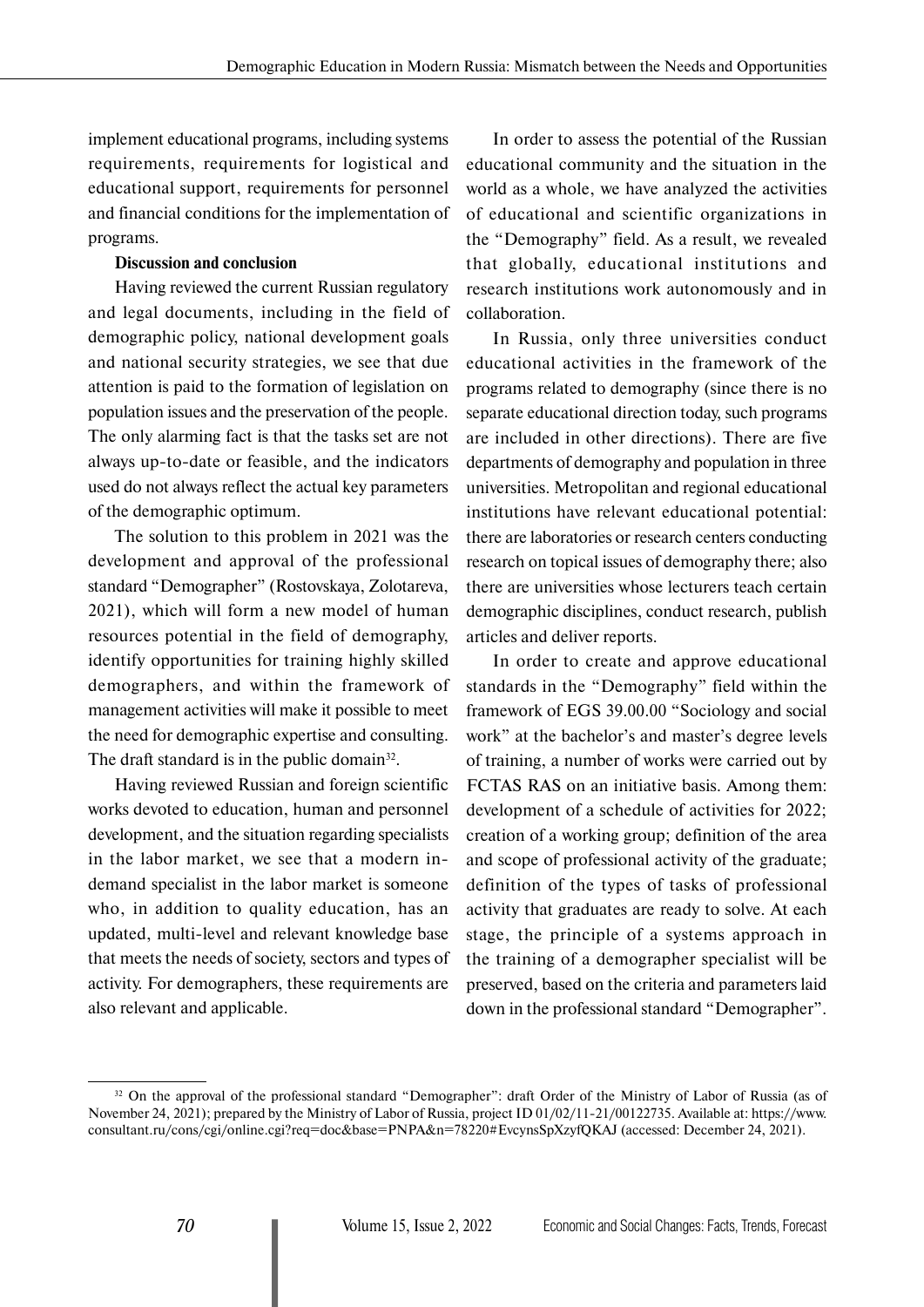implement educational programs, including systems requirements, requirements for logistical and educational support, requirements for personnel and financial conditions for the implementation of programs.

#### **Discussion and conclusion**

Having reviewed the current Russian regulatory and legal documents, including in the field of demographic policy, national development goals and national security strategies, we see that due attention is paid to the formation of legislation on population issues and the preservation of the people. The only alarming fact is that the tasks set are not always up-to-date or feasible, and the indicators used do not always reflect the actual key parameters of the demographic optimum.

The solution to this problem in 2021 was the development and approval of the professional standard "Demographer" (Rostovskaya, Zolotareva, 2021), which will form a new model of human resources potential in the field of demography, identify opportunities for training highly skilled demographers, and within the framework of management activities will make it possible to meet the need for demographic expertise and consulting. The draft standard is in the public domain<sup>32</sup>.

Having reviewed Russian and foreign scientific works devoted to education, human and personnel development, and the situation regarding specialists in the labor market, we see that a modern indemand specialist in the labor market is someone who, in addition to quality education, has an updated, multi-level and relevant knowledge base that meets the needs of society, sectors and types of activity. For demographers, these requirements are also relevant and applicable.

In order to assess the potential of the Russian educational community and the situation in the world as a whole, we have analyzed the activities of educational and scientific organizations in the "Demography" field. As a result, we revealed that globally, educational institutions and research institutions work autonomously and in collaboration.

In Russia, only three universities conduct educational activities in the framework of the programs related to demography (since there is no separate educational direction today, such programs are included in other directions). There are five departments of demography and population in three universities. Metropolitan and regional educational institutions have relevant educational potential: there are laboratories or research centers conducting research on topical issues of demography there; also there are universities whose lecturers teach certain demographic disciplines, conduct research, publish articles and deliver reports.

In order to create and approve educational standards in the "Demography" field within the framework of EGS 39.00.00 "Sociology and social work" at the bachelor's and master's degree levels of training, a number of works were carried out by FCTAS RAS on an initiative basis. Among them: development of a schedule of activities for 2022; creation of a working group; definition of the area and scope of professional activity of the graduate; definition of the types of tasks of professional activity that graduates are ready to solve. At each stage, the principle of a systems approach in the training of a demographer specialist will be preserved, based on the criteria and parameters laid down in the professional standard "Demographer".

<sup>&</sup>lt;sup>32</sup> On the approval of the professional standard "Demographer": draft Order of the Ministry of Labor of Russia (as of November 24, 2021); prepared by the Ministry of Labor of Russia, project ID 01/02/11-21/00122735. Available at: https://www. consultant.ru/cons/cgi/online.cgi?req=doc&base=PNPA&n=78220#EvcynsSpXzyfQKAJ (accessed: December 24, 2021).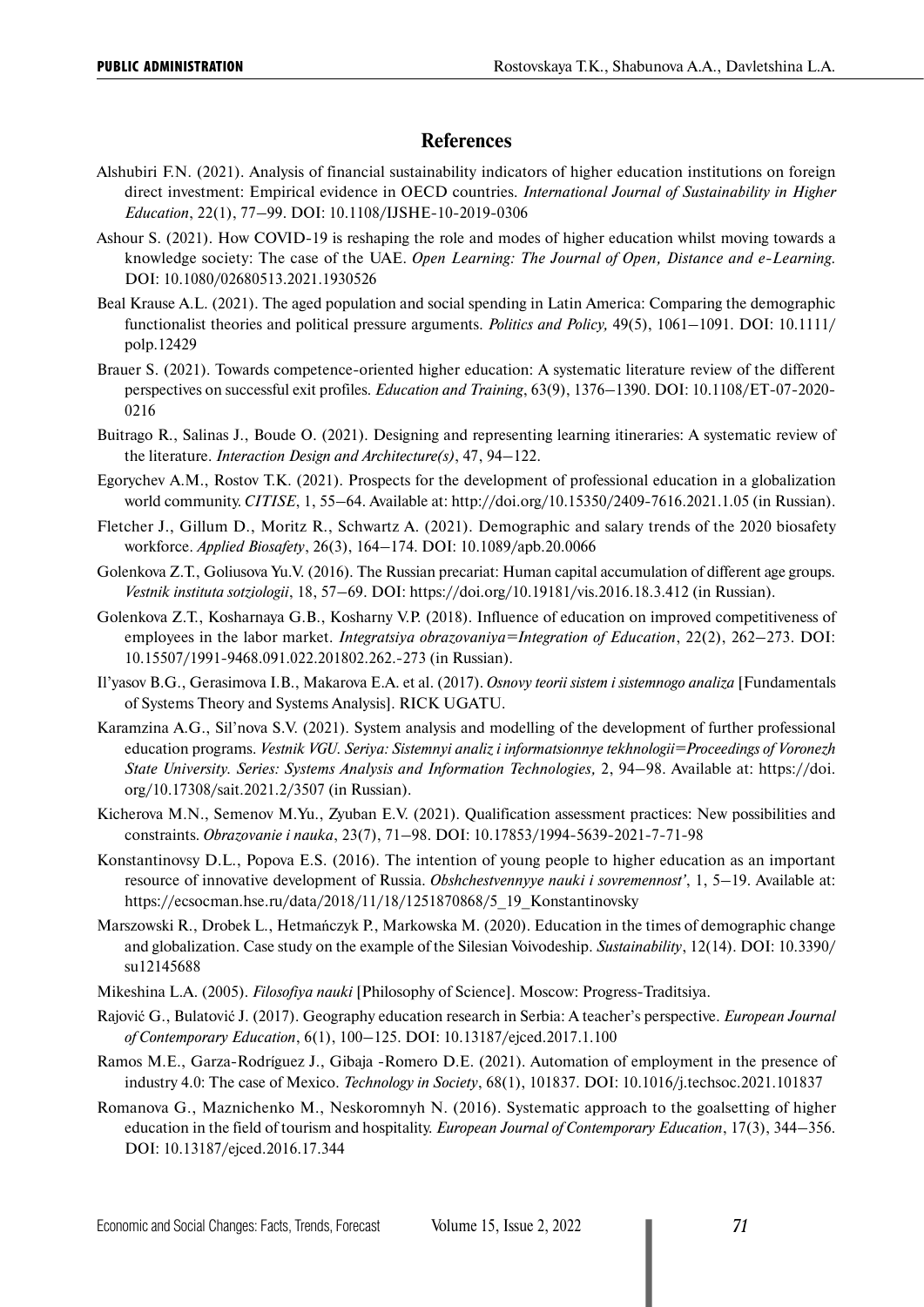#### **References**

- Alshubiri F.N. (2021). Analysis of financial sustainability indicators of higher education institutions on foreign direct investment: Empirical evidence in OECD countries. *International Journal of Sustainability in Higher Education*, 22(1), 77–99. DOI: 10.1108/IJSHE-10-2019-0306
- Ashour S. (2021). How COVID-19 is reshaping the role and modes of higher education whilst moving towards a knowledge society: The case of the UAE. *Open Learning: The Journal of Open, Distance and e-Learning.*  DOI: 10.1080/02680513.2021.1930526
- Beal Krause A.L. (2021). The aged population and social spending in Latin America: Comparing the demographic functionalist theories and political pressure arguments. *Politics and Policy,* 49(5), 1061–1091. DOI: 10.1111/ polp.12429
- Brauer S. (2021). Towards competence-oriented higher education: A systematic literature review of the different perspectives on successful exit profiles. *Education and Training*, 63(9), 1376–1390. DOI: 10.1108/ET-07-2020- 0216
- Buitrago R., Salinas J., Boude O. (2021). Designing and representing learning itineraries: A systematic review of the literature. *Interaction Design and Architecture(s)*, 47, 94–122.
- Egorychev A.M., Rostov T.K. (2021). Prospects for the development of professional education in a globalization world community. *CITISE*, 1, 55–64. Available at: http://doi.org/10.15350/2409-7616.2021.1.05 (in Russian).
- Fletcher J., Gillum D., Moritz R., Schwartz A. (2021). Demographic and salary trends of the 2020 biosafety workforce. *Applied Biosafety*, 26(3), 164–174. DOI: 10.1089/apb.20.0066
- Golenkova Z.T., Goliusova Yu.V. (2016). The Russian precariat: Human capital accumulation of different age groups. *Vestnik instituta sotziologii*, 18, 57–69. DOI: https://doi.org/10.19181/vis.2016.18.3.412 (in Russian).
- Golenkova Z.T., Kosharnaya G.B., Kosharny V.P. (2018). Influence of education on improved competitiveness of employees in the labor market. *Integratsiya obrazovaniya=Integration of Education*, 22(2), 262–273. DOI: 10.15507/1991-9468.091.022.201802.262.-273 (in Russian).
- Il'yasov B.G., Gerasimova I.B., Makarova E.A. et al. (2017). *Osnovy teorii sistem i sistemnogo analiza* [Fundamentals of Systems Theory and Systems Analysis]. RICK UGATU.
- Karamzina A.G., Sil'nova S.V. (2021). System analysis and modelling of the development of further professional education programs. *Vestnik VGU. Seriya: Sistemnyi analiz i informatsionnye tekhnologii=Proceedings of Voronezh State University. Series: Systems Analysis and Information Technologies,* 2, 94–98. Available at: https://doi. org/10.17308/sait.2021.2/3507 (in Russian).
- Kicherova M.N., Semenov M.Yu., Zyuban E.V. (2021). Qualification assessment practices: New possibilities and constraints. *Obrazovanie i nauka*, 23(7), 71–98. DOI: 10.17853/1994-5639-2021-7-71-98
- Konstantinovsy D.L., Popova E.S. (2016). The intention of young people to higher education as an important resource of innovative development of Russia. *Obshchestvennyye nauki i sovremennost'*, 1, 5–19. Available at: https://ecsocman.hse.ru/data/2018/11/18/1251870868/5\_19\_Konstantinovsky
- Marszowski R., Drobek L., Hetmańczyk P., Markowska M. (2020). Education in the times of demographic change and globalization. Case study on the example of the Silesian Voivodeship. *Sustainability*, 12(14). DOI: 10.3390/ su12145688
- Mikeshina L.A. (2005). *Filosofiya nauki* [Philosophy of Science]. Moscow: Progress-Traditsiya.
- Rajović G., Bulatović J. (2017). Geography education research in Serbia: A teacher's perspective. *European Journal of Contemporary Education*, 6(1), 100–125. DOI: 10.13187/ejced.2017.1.100
- Ramos M.E., Garza-Rodríguez J., Gibaja -Romero D.E. (2021). Automation of employment in the presence of industry 4.0: The case of Mexico. *Technology in Society*, 68(1), 101837. DOI: 10.1016/j.techsoc.2021.101837
- Romanova G., Maznichenko M., Neskoromnyh N. (2016). Systematic approach to the goalsetting of higher education in the field of tourism and hospitality. *European Journal of Contemporary Education*, 17(3), 344–356. DOI: 10.13187/ejced.2016.17.344